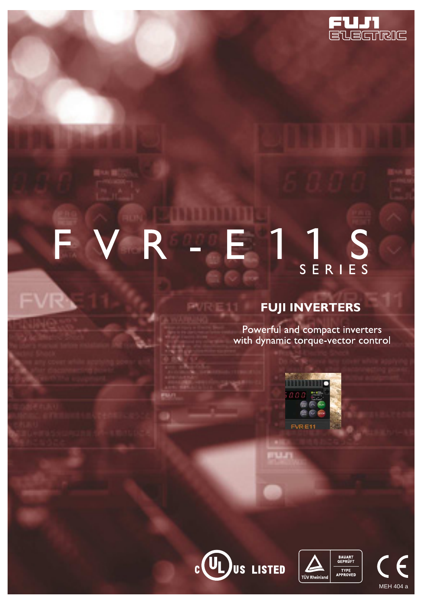

### VR B S E SERIES

# **FUJI INVERTERS**

Powerful and compact inverters<br>with dynamic torque-vector control







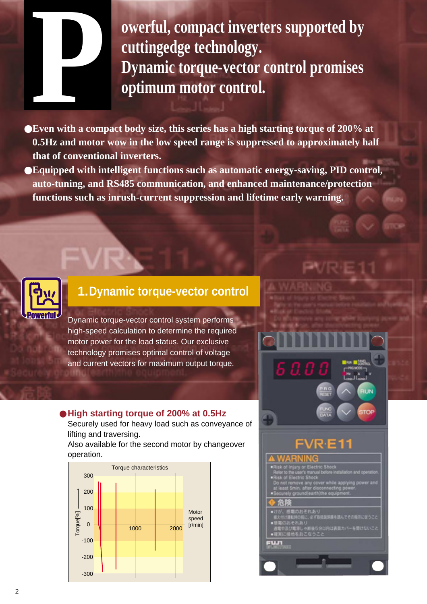**owerful, compact inverters supported by cuttingedge technology. Dynamic torque-vector control promises optimum motor control.** 

●**Even with a compact body size, this series has a high starting torque of 200% at 0.5Hz and motor wow in the low speed range is suppressed to approximately half that of conventional inverters.**

●**Equipped with intelligent functions such as automatic energy-saving, PID control, auto-tuning, and RS485 communication, and enhanced maintenance/protection functions such as inrush-current suppression and lifetime early warning.**



# **1.Dynamic torque-vector control**

Dynamic torque-vector control system performs high-speed calculation to determine the required motor power for the load status. Our exclusive technology promises optimal control of voltage and current vectors for maximum output torque.

### ● **High starting torque of 200% at 0.5Hz**

Securely used for heavy load such as conveyance of lifting and traversing.

Also available for the second motor by changeover operation.



# VR E1 とれあり<br>電源しゃ鉄道5分以内は表面カバー<br>1をおこなうこと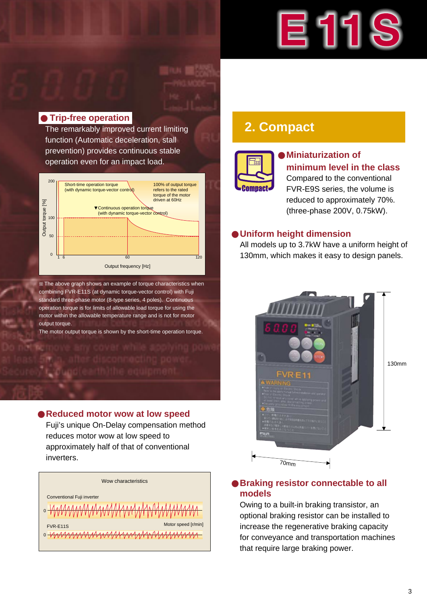# 巨

### ● **Trip-free operation**

The remarkably improved current limiting function (Automatic deceleration, stall prevention) provides continuous stable operation even for an impact load.



The above graph shows an example of torque characteristics when combining FVR-E11S (at dynamic torque-vector control) with Fuji standard three-phase motor (8-type series, 4 poles). Continuous operation torque is for limits of allowable load torque for using the motor within the allowable temperature range and is not for motor output torque.

The motor output torque is shown by the short-time operation torque.

### ● **Reduced motor wow at low speed**

Fuji's unique On-Delay compensation method reduces motor wow at low speed to approximately half of that of conventional inverters.



# **2. Compact**



### **Miniaturization of minimum level in the class** Compared to the conventional FVR-E9S series, the volume is reduced to approximately 70%. (three-phase 200V, 0.75kW).

### ● **Uniform height dimension**

All models up to 3.7kW have a uniform height of 130mm, which makes it easy to design panels.



### ● **Braking resistor connectable to all models**

Owing to a built-in braking transistor, an optional braking resistor can be installed to increase the regenerative braking capacity for conveyance and transportation machines that require large braking power.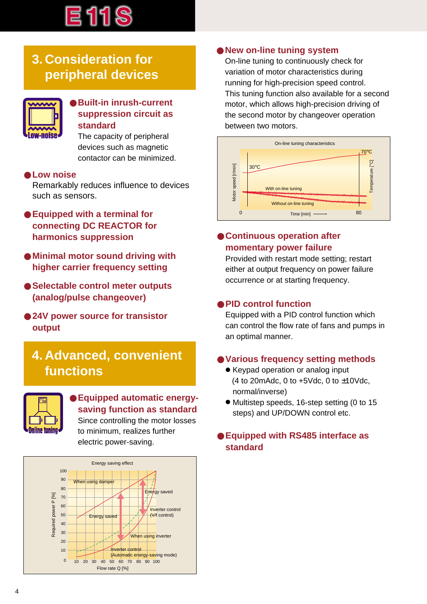

# **3. Consideration for peripheral devices**



### ● **Built-in inrush-current suppression circuit as standard**

The capacity of peripheral devices such as magnetic contactor can be minimized.

### ● **Low noise**

Remarkably reduces influence to devices such as sensors.

- **Equipped with a terminal for connecting DC REACTOR for harmonics suppression**
- **Minimal motor sound driving with higher carrier frequency setting**
- **Selectable control meter outputs (analog/pulse changeover)**
- 24V power source for transistor **output**

# **4. Advanced, convenient functions**



### ● **Equipped automatic energysaving function as standard** Since controlling the motor losses

to minimum, realizes further electric power-saving.



### ● **New on-line tuning system**

On-line tuning to continuously check for variation of motor characteristics during running for high-precision speed control. This tuning function also available for a second motor, which allows high-precision driving of the second motor by changeover operation between two motors.



### ● **Continuous operation after momentary power failure**

Provided with restart mode setting; restart either at output frequency on power failure occurrence or at starting frequency.

### ● **PID control function**

Equipped with a PID control function which can control the flow rate of fans and pumps in an optimal manner.

### ● **Various frequency setting methods**

- Keypad operation or analog input (4 to 20 m Adc, 0 to  $+5$  Vdc, 0 to  $\pm$ 10 Vdc, normal/inverse)
- Multistep speeds, 16-step setting (0 to 15 steps) and UP/DOWN control etc.

### ● **Equipped with RS485 interface as standard**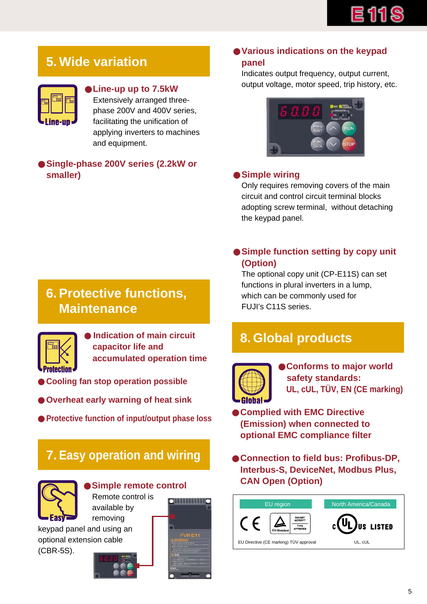# **5. Wide variation**



### ●**Line-up up to 7.5kW**

Extensively arranged threephase 200V and 400V series, facilitating the unification of applying inverters to machines and equipment.

### ● **Single-phase 200V series (2.2kW or smaller)**

### ● **Various indications on the keypad panel**

Indicates output frequency, output current, output voltage, motor speed, trip history, etc.



### ● **Simple wiring**

Only requires removing covers of the main circuit and control circuit terminal blocks adopting screw terminal, without detaching the keypad panel.

### ● Simple function setting by copy unit **(Option)**

The optional copy unit (CP-E11S) can set functions in plural inverters in a lump, which can be commonly used for FUJI's C11S series.

# **8. Global products**



●**Conforms to major world safety standards: UL, cUL, TÜV, EN (CE marking)**

● **Complied with EMC Directive (Emission) when connected to optional EMC compliance filter**

● **Connection to field bus: Profibus-DP, Interbus-S, DeviceNet, Modbus Plus,**  ● Simple remote control **be a CAN Open (Option)** 



# **6. Protective functions, Maintenance**



**Indication of main circuit capacitor life and accumulated operation time**

- **Cooling fan stop operation possible**
- **Overheat early warning of heat sink**
- **Protective function of input/output phase loss**

# **7. Easy operation and wiring**



Remote control is <u>ommunio</u> available by

removing keypad panel and using an optional extension cable (CBR-5S).



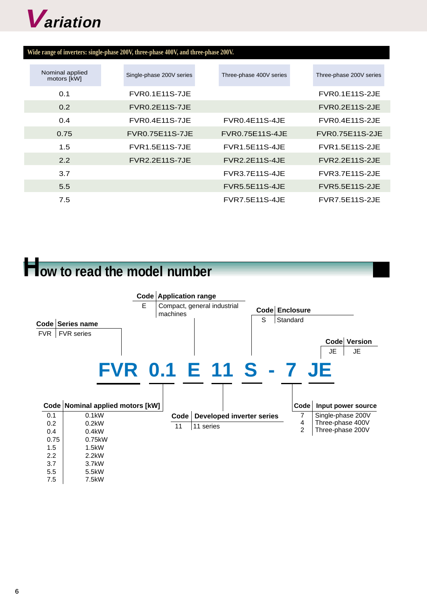

| Wide range of inverters: single-phase 200V, three-phase 400V, and three-phase 200V. |  |  |  |
|-------------------------------------------------------------------------------------|--|--|--|
|                                                                                     |  |  |  |

| Nominal applied<br>motors [kW] | Single-phase 200V series | Three-phase 400V series | Three-phase 200V series |
|--------------------------------|--------------------------|-------------------------|-------------------------|
| 0.1                            | <b>FVR0.1E11S-7JE</b>    |                         | <b>FVR0.1E11S-2JE</b>   |
| $0.2^{\circ}$                  | <b>FVR0.2E11S-7JE</b>    |                         | <b>FVR0.2E11S-2JE</b>   |
| 0.4                            | <b>FVR0.4E11S-7JE</b>    | <b>FVR0.4E11S-4JE</b>   | <b>FVR0.4E11S-2.JE</b>  |
| 0.75                           | <b>FVR0.75E11S-7JE</b>   | <b>FVR0.75E11S-4JE</b>  | <b>FVR0.75E11S-2JE</b>  |
| 1.5                            | <b>FVR1.5E11S-7JE</b>    | <b>FVR1.5E11S-4JE</b>   | <b>FVR1.5E11S-2JE</b>   |
| 2.2                            | <b>FVR2.2E11S-7JE</b>    | <b>FVR2.2E11S-4JE</b>   | <b>FVR2.2E11S-2JE</b>   |
| 3.7                            |                          | <b>FVR3.7E11S-4JE</b>   | <b>FVR3.7E11S-2JE</b>   |
| 5.5                            |                          | <b>FVR5.5E11S-4JE</b>   | <b>FVR5.5E11S-2JE</b>   |
| 7.5                            |                          | <b>FVR7.5E11S-4JE</b>   | <b>FVR7.5E11S-2JE</b>   |

# **How to read the model number**

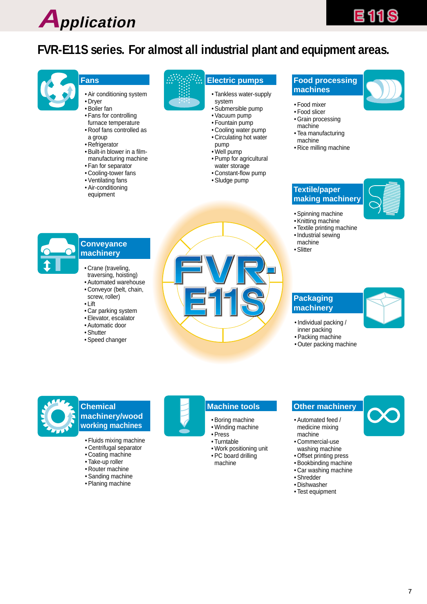

# **FVR-E11S series. For almost all industrial plant and equipment areas.**



#### **Fans**

- Air conditioning system
- Dryer
- Boiler fan
- Fans for controlling furnace temperature
- Roof fans controlled as
- a group
- Refrigerator
- Built-in blower in a filmmanufacturing machine
- Fan for separator
- Cooling-tower fans
- Ventilating fans
- Air-conditioning equipment

### **Electric pumps Food processing**

- Tankless water-supply
- system • Submersible pump
- Vacuum pump
- Fountain pump
- Cooling water pump
- Circulating hot water
- pump
- Well pump
- Pump for agricultural water storage
- Constant-flow pump
- Sludge pump

# **machines**



- Food mixer
- Food slicer • Grain processing
- machine
- Tea manufacturing machine
- Rice milling machine

#### **Textile/paper making machinery**



- Spinning machine
- Knitting machine
- Textile printing machine
- Industrial sewing machine
- Slitter

### **Conveyance machinery**

- Crane (traveling,
- traversing, hoisting)
- Automated warehouse • Conveyor (belt, chain, screw, roller)
- Lift
- Car parking system
- Elevator, escalator
- Automatic door
- Shutter
- Speed changer



#### **Packaging machinery**



- Individual packing / inner packing
- Packing machine
- Outer packing machine



### **Chemical machinery/wood working machines**

- Fluids mixing machine
- Centrifugal separator
- Coating machine
- Take-up roller
- Router machine
- Sanding machine
- Planing machine
- 

#### **Machine tools**

- Boring machine
- Winding machine
- Press • Turntable
- Work positioning unit
- PC board drilling machine

#### **Other machinery**

- Automated feed / medicine mixing machine
- Commercial-use washing machine
- Offset printing press
- Bookbinding machine
- Car washing machine • Shredder
- Dishwasher
- Test equipment

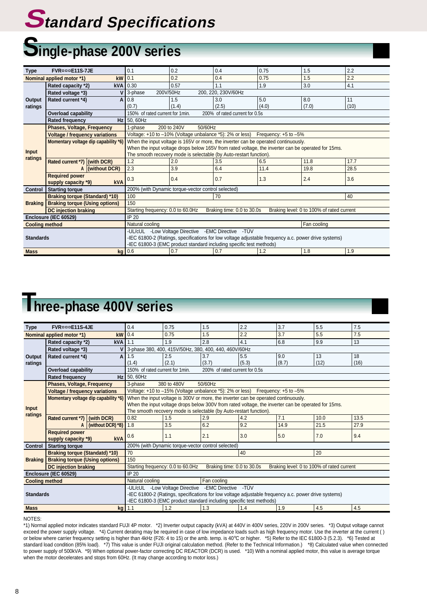# **Standard Specifications**

# **Single-phase 200V series**

| Type                    | <b>FVR</b> ¤¤¤E11S-7JE                |                 | 0.1                                                                                                | 0.2                                                                 | 0.4                            | 0.75                                                                                                 | 1.5                                       | 2.2  |  |
|-------------------------|---------------------------------------|-----------------|----------------------------------------------------------------------------------------------------|---------------------------------------------------------------------|--------------------------------|------------------------------------------------------------------------------------------------------|-------------------------------------------|------|--|
|                         | Nominal applied motor *1)             | $kW$ 0.1        |                                                                                                    | 0.2                                                                 | 0.4                            | 0.75                                                                                                 | 1.5                                       | 2.2  |  |
|                         | Rated capacity *2)                    | <b>kVA</b>      | 0.30                                                                                               | 0.57                                                                | 1.1                            | 1.9                                                                                                  | 3.0                                       | 4.1  |  |
|                         | Rated voltage *3)                     | v               | 200V/50Hz<br>3-phase                                                                               |                                                                     | 200, 220, 230V/60Hz            |                                                                                                      |                                           |      |  |
| Output                  | Rated current *4)                     | A               | 0.8                                                                                                | 1.5                                                                 | 3.0                            | 5.0                                                                                                  | 8.0                                       | 11   |  |
| ratings                 |                                       |                 | (0.7)                                                                                              | (1.4)                                                               | (2.5)                          | (4.0)                                                                                                | (7.0)                                     | (10) |  |
|                         | Overload capability                   |                 | 150% of rated current for 1min.                                                                    |                                                                     | 200% of rated current for 0.5s |                                                                                                      |                                           |      |  |
|                         | <b>Rated frequency</b>                |                 | Hz 50, 60Hz                                                                                        |                                                                     |                                |                                                                                                      |                                           |      |  |
|                         | <b>Phases, Voltage, Frequency</b>     |                 | 1-phase                                                                                            | 50/60Hz<br>200 to 240V                                              |                                |                                                                                                      |                                           |      |  |
|                         | <b>Voltage / frequency variations</b> |                 |                                                                                                    |                                                                     |                                | Voltage: +10 to -10% (Voltage unbalance *5): 2% or less) Frequency: +5 to -5%                        |                                           |      |  |
|                         | Momentary voltage dip capability *6)  |                 | When the input voltage is 165V or more, the inverter can be operated continuously.                 |                                                                     |                                |                                                                                                      |                                           |      |  |
|                         |                                       |                 | When the input voltage drops below 165V from rated voltage, the inverter can be operated for 15ms. |                                                                     |                                |                                                                                                      |                                           |      |  |
| <b>Input</b><br>ratings |                                       |                 | The smooth recovery mode is selectable (by Auto-restart function).                                 |                                                                     |                                |                                                                                                      |                                           |      |  |
|                         | Rated current *7) (with DCR)          |                 | 1.2                                                                                                | 2.0                                                                 | 3.5                            | 6.5                                                                                                  | 11.8                                      | 17.7 |  |
|                         |                                       | A (without DCR) | 2.3                                                                                                | 3.9                                                                 | 6.4                            | 11.4                                                                                                 | 19.8                                      | 28.5 |  |
|                         | <b>Required power</b>                 |                 | 0.3                                                                                                | 0.4                                                                 | 0.7                            | 1.3                                                                                                  | 2.4                                       | 3.6  |  |
|                         | supply capacity *9)                   | kVA             |                                                                                                    |                                                                     |                                |                                                                                                      |                                           |      |  |
| <b>Control</b>          | <b>Starting torque</b>                |                 |                                                                                                    | 200% (with Dynamic torque-vector control selected)                  |                                |                                                                                                      |                                           |      |  |
|                         | <b>Braking torque (Standard) *10)</b> |                 | 100                                                                                                |                                                                     | 70                             |                                                                                                      |                                           | 40   |  |
| <b>Braking</b>          | <b>Braking torque (Using options)</b> |                 | 150                                                                                                |                                                                     |                                |                                                                                                      |                                           |      |  |
|                         | <b>DC</b> injection braking           |                 | Starting frequency: 0.0 to 60.0Hz                                                                  |                                                                     | Braking time: 0.0 to 30.0s     |                                                                                                      | Braking level: 0 to 100% of rated current |      |  |
|                         | Enclosure (IEC 60529)                 |                 | IP 20                                                                                              |                                                                     |                                |                                                                                                      |                                           |      |  |
| <b>Cooling method</b>   |                                       |                 | Natural cooling                                                                                    |                                                                     |                                |                                                                                                      | Fan cooling                               |      |  |
|                         |                                       |                 |                                                                                                    | -UL/cUL -Low Voltage Directive -EMC Directive -TÜV                  |                                |                                                                                                      |                                           |      |  |
| <b>Standards</b>        |                                       |                 |                                                                                                    |                                                                     |                                | -IEC 61800-2 (Ratings, specifications for low voltage adjustable frequency a.c. power drive systems) |                                           |      |  |
|                         |                                       |                 |                                                                                                    | -IEC 61800-3 (EMC product standard including specific test methods) |                                |                                                                                                      |                                           |      |  |
| <b>Mass</b>             |                                       |                 | kg 0.6                                                                                             | 0.7                                                                 | 0.7                            | 1.2                                                                                                  | 1.8                                       | 1.9  |  |

# **Three-phase 400V series**

| <b>Type</b>             | FVR¤¤¤E11S-4JE                        |                   | 0.4                                                                                                | 0.75        | 1.5                                                | 2.2                                                                                                  | 3.7   | 5.5                                       | 7.5  |
|-------------------------|---------------------------------------|-------------------|----------------------------------------------------------------------------------------------------|-------------|----------------------------------------------------|------------------------------------------------------------------------------------------------------|-------|-------------------------------------------|------|
|                         | Nominal applied motor *1)             |                   | $kW$ 0.4                                                                                           | 0.75        | 1.5                                                | 2.2                                                                                                  | 3.7   | 5.5                                       | 7.5  |
|                         | Rated capacity *2)                    | <b>kVA</b>        | 1.1                                                                                                | 1.9         | 2.8                                                | 4.1                                                                                                  | 6.8   | 9.9                                       | 13   |
|                         | Rated voltage *3)                     |                   | 3-phase 380, 400, 415V/50Hz, 380, 400, 440, 460V/60Hz                                              |             |                                                    |                                                                                                      |       |                                           |      |
| Output                  | Rated current *4)                     | A                 | 1.5                                                                                                | 2.5         | 3.7                                                | 5.5                                                                                                  | 9.0   | 13                                        | 18   |
| ratings                 |                                       |                   | (1.4)                                                                                              | (2.1)       | (3.7)                                              | (5.3)                                                                                                | (8.7) | (12)                                      | (16) |
|                         | <b>Overload capability</b>            |                   | 150% of rated current for 1min.<br>200% of rated current for 0.5s                                  |             |                                                    |                                                                                                      |       |                                           |      |
|                         | <b>Rated frequency</b>                |                   | $Hz$ 50, 60Hz                                                                                      |             |                                                    |                                                                                                      |       |                                           |      |
|                         | Phases, Voltage, Frequency            |                   | 3-phase                                                                                            | 380 to 480V | 50/60Hz                                            |                                                                                                      |       |                                           |      |
|                         | <b>Voltage / frequency variations</b> |                   |                                                                                                    |             |                                                    | Voltage: +10 to -15% (Voltage unbalance *5): 2% or less) Frequency: +5 to -5%                        |       |                                           |      |
|                         | Momentary voltage dip capability *6)  |                   |                                                                                                    |             |                                                    | When the input voltage is 300V or more, the inverter can be operated continuously.                   |       |                                           |      |
|                         |                                       |                   | When the input voltage drops below 300V from rated voltage, the inverter can be operated for 15ms. |             |                                                    |                                                                                                      |       |                                           |      |
| <b>Input</b><br>ratings |                                       |                   | The smooth recovery mode is selectable (by Auto-restart function).                                 |             |                                                    |                                                                                                      |       |                                           |      |
|                         | Rated current *7)                     | (with DCR)        | 0.82                                                                                               | 1.5         | 2.9                                                | 4.2                                                                                                  | 7.1   | 10.0                                      | 13.5 |
|                         | A                                     | (without DCR) *8) | 1.8                                                                                                | 3.5         | 6.2                                                | 9.2                                                                                                  | 14.9  | 21.5                                      | 27.9 |
|                         | <b>Required power</b>                 |                   | 0.6                                                                                                | 1.1         | 2.1                                                | 3.0                                                                                                  | 5.0   | 7.0                                       | 9.4  |
|                         | supply capacity *9)                   | <b>kVA</b>        |                                                                                                    |             |                                                    |                                                                                                      |       |                                           |      |
| Control                 | <b>Starting torque</b>                |                   |                                                                                                    |             | 200% (with Dynamic torque-vector control selected) |                                                                                                      |       |                                           |      |
|                         | <b>Braking torque (Standatd) *10)</b> |                   | 70                                                                                                 |             |                                                    | 40                                                                                                   |       | 20                                        |      |
| <b>Braking</b>          | <b>Braking torque (Using options)</b> |                   | 150                                                                                                |             |                                                    |                                                                                                      |       |                                           |      |
|                         | <b>DC injection braking</b>           |                   | Starting frequency: 0.0 to 60.0Hz                                                                  |             | Braking time: 0.0 to 30.0s                         |                                                                                                      |       | Braking level: 0 to 100% of rated current |      |
|                         | Enclosure (IEC 60529)                 |                   | IP 20                                                                                              |             |                                                    |                                                                                                      |       |                                           |      |
| <b>Cooling method</b>   |                                       |                   | Natural cooling                                                                                    |             | Fan cooling                                        |                                                                                                      |       |                                           |      |
|                         |                                       |                   |                                                                                                    |             | -UL/cUL -Low Voltage Directive - EMC Directive     | -TÜV                                                                                                 |       |                                           |      |
|                         | <b>Standards</b>                      |                   |                                                                                                    |             |                                                    | -IEC 61800-2 (Ratings, specifications for low voltage adjustable frequency a.c. power drive systems) |       |                                           |      |
|                         |                                       |                   |                                                                                                    |             |                                                    | -IEC 61800-3 (EMC product standard including specific test methods)                                  |       |                                           |      |
| <b>Mass</b>             |                                       |                   | $kg$ 1.1                                                                                           | 1.2         | 1.3                                                | 1.4                                                                                                  | 1.9   | 4.5                                       | 4.5  |

NOTES:

\*1) Normal applied motor indicates standard FUJI 4P motor. \*2) Inverter output capacity (kVA) at 440V in 400V series, 220V in 200V series. \*3) Output voltage cannot exceed the power supply voltage. \*4) Current derating may be required in case of low impedance loads such as high frequency motor. Use the inverter at the current ( ) or below where carrier frequency setting is higher than 4kHz (F26: 4 to 15) or the amb. temp. is 40°C or higher. \*5) Refer to the IEC 61800-3 (5.2.3). \*6) Tested at standard load condition (85% load). \*7) This value is under FUJI original calculation method. (Refer to the Technical Information.) \*8) Calculated value when connected to power supply of 500kVA. \*9) When optional power-factor correcting DC REACTOR (DCR) is used. \*10) With a nominal applied motor, this value is average torque when the motor decelerates and stops from 60Hz. (It may change according to motor loss.)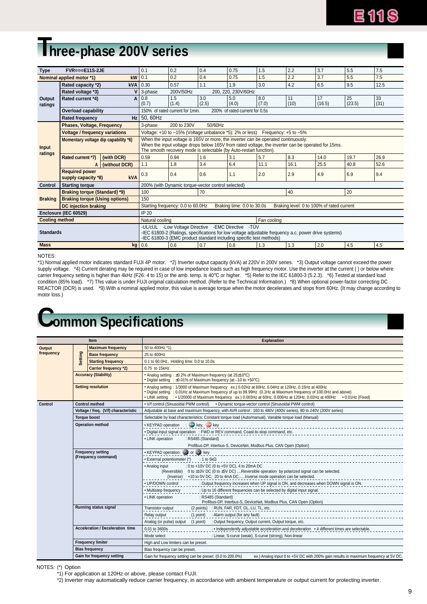# **Three-phase 200V series**

| <b>Type</b>       | FVR¤¤¤E11S-2JE                                          |               | 0.1              | 0.2                                                                                                                                                                                                                                                            | 0.4          | 0.75                                                     | 1.5                       | 2.2        | 3.7                                       | 5.5          | 7.5        |
|-------------------|---------------------------------------------------------|---------------|------------------|----------------------------------------------------------------------------------------------------------------------------------------------------------------------------------------------------------------------------------------------------------------|--------------|----------------------------------------------------------|---------------------------|------------|-------------------------------------------|--------------|------------|
|                   | Nominal applied motor *1)                               | kW            | 10.1             | 0.2                                                                                                                                                                                                                                                            | 0.4          | 0.75                                                     | 1.5                       | 2.2        | 3.7                                       | 5.5          | 7.5        |
|                   | Rated capacity *2)                                      | kVA           | 0.30             | 0.57                                                                                                                                                                                                                                                           | 1.1          | 1.9                                                      | 3.0                       | 4.2        | 6.5                                       | 9.5          | 12.5       |
| Output<br>ratings | Rated voltage *3)                                       |               | 3-phase          | 200V/50Hz                                                                                                                                                                                                                                                      |              | 200, 220, 230V/60Hz                                      |                           |            |                                           |              |            |
|                   | Rated current *4)                                       |               | $A$ 0.8<br>(0.7) | 1.5<br>(1.4)                                                                                                                                                                                                                                                   | 3.0<br>(2.5) | 5.0<br>(4.0)                                             | 8.0<br>(7.0)              | 11<br>(10) | 17<br>(16.5)                              | 25<br>(23.5) | 33<br>(31) |
|                   | <b>Overload capability</b>                              |               |                  | 150% of rated current for 1min.                                                                                                                                                                                                                                |              | 200% of rated current for 0.5s                           |                           |            |                                           |              |            |
|                   | <b>Rated frequency</b>                                  |               | $Hz$ 50, 60Hz    |                                                                                                                                                                                                                                                                |              |                                                          |                           |            |                                           |              |            |
|                   | <b>Phases, Voltage, Frequency</b>                       |               | 3-phase          | 200 to 230V                                                                                                                                                                                                                                                    | 50/60Hz      |                                                          |                           |            |                                           |              |            |
| Input             | <b>Voltage / frequency variations</b>                   |               |                  |                                                                                                                                                                                                                                                                |              | Voltage: +10 to -15% (Voltage unbalance *5): 2% or less) | Frequency: $+5$ to $-5\%$ |            |                                           |              |            |
|                   | Momentary voltage dip capability *6)                    |               |                  | When the input voltage is 165V or more, the inverter can be operated continuously.<br>When the input voltage drops below 165V from rated voltage, the inverter can be operated for 15ms.<br>The smooth recovery mode is selectable (by Auto-restart function). |              |                                                          |                           |            |                                           |              |            |
| ratings           | Rated current *7)                                       | (with DCR)    | 0.59             | 0.94                                                                                                                                                                                                                                                           | 1.6          | 3.1                                                      | 5.7                       | 8.3        | 14.0                                      | 19.7         | 26.9       |
|                   | А                                                       | (without DCR) | 1.1              | 1.8                                                                                                                                                                                                                                                            | 3.4          | 6.4                                                      | 11.1                      | 16.1       | 25.5                                      | 40.8         | 52.6       |
|                   | <b>Required power</b><br>supply capacity *8)            | <b>kVA</b>    | 0.3              | 0.4                                                                                                                                                                                                                                                            | 0.6          | 1.1                                                      | 2.0                       | 2.9        | 4.9                                       | 6.9          | 9.4        |
| Control           | <b>Starting torque</b>                                  |               |                  | 200% (with Dynamic torque-vector control selected)                                                                                                                                                                                                             |              |                                                          |                           |            |                                           |              |            |
|                   | <b>Braking torque (Standard) *9)</b>                    |               | 100              |                                                                                                                                                                                                                                                                | 70           |                                                          |                           | 40         |                                           | 20           |            |
| <b>Braking</b>    | <b>Braking torque (Using options)</b>                   |               | 150              |                                                                                                                                                                                                                                                                |              |                                                          |                           |            |                                           |              |            |
|                   | DC injection braking                                    |               |                  | Starting frequency: 0.0 to 60.0Hz                                                                                                                                                                                                                              |              | Braking time: 0.0 to 30.0s                               |                           |            | Braking level: 0 to 100% of rated current |              |            |
|                   | Enclosure (IEC 60529)                                   |               | IP 20            |                                                                                                                                                                                                                                                                |              |                                                          |                           |            |                                           |              |            |
|                   | <b>Cooling method</b><br>Fan cooling<br>Natural cooling |               |                  |                                                                                                                                                                                                                                                                |              |                                                          |                           |            |                                           |              |            |
| <b>Standards</b>  |                                                         |               |                  | -UL/cUL -Low Voltage Directive -EMC Directive<br>-TÜV<br>-IEC 61800-2 (Ratings, specifications for low voltage adjustable frequency a.c. power drive systems)<br>-IEC 61800-3 (EMC product standard including specific test methods)                           |              |                                                          |                           |            |                                           |              |            |
| <b>Mass</b>       |                                                         |               | $kg$ 0.6         | 0.6                                                                                                                                                                                                                                                            | 0.7          | 0.8                                                      | 1.3                       | 1.3        | 2.0                                       | 4.5          | 4.5        |

NOTES:

\*1) Normal applied motor indicates standard FUJI 4P motor. \*2) Inverter output capacity (kVA) at 220V in 200V series. \*3) Output voltage cannot exceed the power supply voltage. \*4) Current derating may be required in case of low impedance loads such as high frequency motor. Use the inverter at the current ( ) or below where carrier frequency setting is higher than 4kHz (F26: 4 to 15) or the amb. temp. is 40°C or higher. \*5) Refer to the IEC 61800-3 (5.2.3). \*6) Tested at standard load condition (85% load). \*7) This value is under FUJI original calculation method. (Refer to the Technical Information.) \*8) When optional power-factor correcting DC REACTOR (DCR) is used. \*9) With a nominal applied motor, this value is average torque when the motor decelerates and stops from 60Hz. (It may change according to motor loss.)

# **Common Specifications**

| ltem      |                |                                         | <b>Explanation</b>                                                                                                                                                                                                                                                                                                                                    |  |  |
|-----------|----------------|-----------------------------------------|-------------------------------------------------------------------------------------------------------------------------------------------------------------------------------------------------------------------------------------------------------------------------------------------------------------------------------------------------------|--|--|
| Output    |                | <b>Maximum frequency</b>                | 50 to 400Hz *1)                                                                                                                                                                                                                                                                                                                                       |  |  |
| frequency |                | <b>Base frequency</b>                   | 25 to 400Hz                                                                                                                                                                                                                                                                                                                                           |  |  |
|           | <b>Setting</b> | <b>Starting frequency</b>               | 0.1 to 60.0Hz, Holding time: 0.0 to 10.0s                                                                                                                                                                                                                                                                                                             |  |  |
|           |                | Carrier frequency *2)                   | 0.75 to 15kHz                                                                                                                                                                                                                                                                                                                                         |  |  |
|           |                | <b>Accuracy (Stability)</b>             | • Analog setting: ±0.2% of Maximum frequency (at 25±10°C)<br>• Digital setting : ±0.01% of Maximum frequency (at -10 to +50°C)                                                                                                                                                                                                                        |  |  |
|           |                | <b>Setting resolution</b>               | * Analog setting: 1/3000 of Maximum frequency ex.) 0.02Hz at 60Hz, 0.04Hz at 120Hz, 0.15Hz at 400Hz<br>. Digital setting : 0.01Hz at Maximum frequency of up to 99.99Hz (0.1Hz at Maximum frequency of 100.0Hz and above)<br>• LINK setting : • 1/20000 of Maximum frequency ex.) 0.003Hz at 60Hz, 0.006Hz at 120Hz, 0.02Hz at 400Hz • 0.01Hz (Fixed) |  |  |
| Control   |                | <b>Control method</b>                   | • V/f control (Sinusoidal PWM control) • Dynamic torque-vector control (Sinusoidal PWM control)                                                                                                                                                                                                                                                       |  |  |
|           |                | Voltage / freg. (V/f) characteristic    | Adjustable at base and maximum frequency, with AVR control: 160 to 480V (400V series), 80 to 240V (200V series)                                                                                                                                                                                                                                       |  |  |
|           |                | <b>Toraue boost</b>                     | Selectable by load characteristics: Constant torque load (Auto/manual), Variable torque load (Manual)                                                                                                                                                                                                                                                 |  |  |
|           |                | <b>Operation method</b>                 | • KEYPAD operation : RUN key, TICP key                                                                                                                                                                                                                                                                                                                |  |  |
|           |                |                                         | . Digital input signal operation : FWD or REV command, Coast-to-stop command, etc.                                                                                                                                                                                                                                                                    |  |  |
|           |                |                                         | • LINK operation<br>: RS485 (Standard)                                                                                                                                                                                                                                                                                                                |  |  |
|           |                |                                         | Profibus-DP, Interbus-S, DeviceNet, Modbus Plus, CAN Open (Option)                                                                                                                                                                                                                                                                                    |  |  |
|           |                | <b>Frequency setting</b>                | • KEYPAD operation: $\Diamond$ or $\lor$ key                                                                                                                                                                                                                                                                                                          |  |  |
|           |                | (Frequency command)                     | • External potentiometer (*)<br>: 1 to $5k\Omega$                                                                                                                                                                                                                                                                                                     |  |  |
|           |                |                                         | • Analog input<br>: 0 to +10V DC (0 to +5V DC), 4 to 20mA DC                                                                                                                                                                                                                                                                                          |  |  |
|           |                |                                         | (Reversible) $0$ to $\pm$ 10V DC (0 to $\pm$ 5V DC) Reversible operation by polarized signal can be selected.                                                                                                                                                                                                                                         |  |  |
|           |                |                                         | (Inverse) +10 to 0V DC, 20 to 4mA DCInverse mode operation can be selected.                                                                                                                                                                                                                                                                           |  |  |
|           |                |                                         | • UP/DOWN control<br>: Output frequency increases when UP signal is ON, and decreases when DOWN signal is ON.                                                                                                                                                                                                                                         |  |  |
|           |                |                                         | : Up to 16 different frequencies can be selected by digital input signal.<br>• Multistep frequency                                                                                                                                                                                                                                                    |  |  |
|           |                |                                         | • LINK operation<br>: RS485 (Standard)<br>Profibus-DP, Interbus-S, DeviceNet, Modbus Plus, CAN Open (Option)                                                                                                                                                                                                                                          |  |  |
|           |                | Running status signal                   | Transistor output<br>(2 points) : RUN, FAR, FDT, OL, LU, TL, etc.                                                                                                                                                                                                                                                                                     |  |  |
|           |                |                                         | Relay output<br>(1 point) : Alarm output (for any fault)                                                                                                                                                                                                                                                                                              |  |  |
|           |                |                                         | Analog (or pulse) output<br>: Output frequency, Output current, Output torque, etc.<br>(1 point)                                                                                                                                                                                                                                                      |  |  |
|           |                | <b>Acceleration / Deceleration time</b> | 0.01 to 3600s<br>: • Independently adjustable acceleration and deceleration • 4 different times are selectable.                                                                                                                                                                                                                                       |  |  |
|           |                |                                         | Mode select<br>: Linear, S-curve (weak), S-curve (strong), Non-linear                                                                                                                                                                                                                                                                                 |  |  |
|           |                | <b>Frequency limiter</b>                | High and Low limiters can be preset.                                                                                                                                                                                                                                                                                                                  |  |  |
|           |                | <b>Bias frequency</b>                   | Bias frequency can be preset.                                                                                                                                                                                                                                                                                                                         |  |  |
|           |                | Gain for frequency setting              | Gain for frequency setting can be preset. (0.0 to 200.0%)<br>ex.) Analog input 0 to +5V DC with 200% gain results in maximum frequency at 5V DC.                                                                                                                                                                                                      |  |  |
|           |                |                                         |                                                                                                                                                                                                                                                                                                                                                       |  |  |

#### NOTES: (\*) Option

\*1) For application at 120Hz or above, please contact FUJI.

\*2) Inverter may automatically reduce carrier frequency, in accordance with ambient temperature or output current for protecting inverter.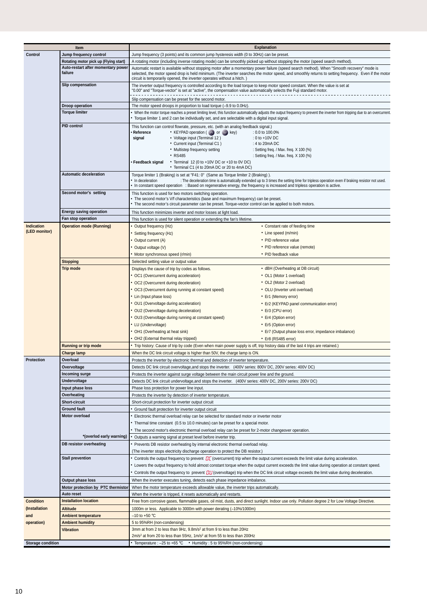|                             | Item                                                                                                                                                                                                                                                                                                                                                                                 | <b>Explanation</b>                                                                                                                                                                                                                                      |                                                                                                                                                                                                                                                                                                     |  |  |  |
|-----------------------------|--------------------------------------------------------------------------------------------------------------------------------------------------------------------------------------------------------------------------------------------------------------------------------------------------------------------------------------------------------------------------------------|---------------------------------------------------------------------------------------------------------------------------------------------------------------------------------------------------------------------------------------------------------|-----------------------------------------------------------------------------------------------------------------------------------------------------------------------------------------------------------------------------------------------------------------------------------------------------|--|--|--|
| Control                     | Jump frequency control                                                                                                                                                                                                                                                                                                                                                               | Jump frequency (3 points) and its common jump hysteresis width (0 to 30Hz) can be preset.                                                                                                                                                               |                                                                                                                                                                                                                                                                                                     |  |  |  |
|                             |                                                                                                                                                                                                                                                                                                                                                                                      |                                                                                                                                                                                                                                                         |                                                                                                                                                                                                                                                                                                     |  |  |  |
|                             | Rotating motor pick up (Flying start)                                                                                                                                                                                                                                                                                                                                                | A rotating motor (including inverse rotating mode) can be smoothly picked up without stopping the motor (speed search method).                                                                                                                          |                                                                                                                                                                                                                                                                                                     |  |  |  |
|                             | Auto-restart after momentary power<br>failure                                                                                                                                                                                                                                                                                                                                        | circuit is temporarily opened, the inverter operates without a hitch.)                                                                                                                                                                                  | Automatic restart is available without stopping motor after a momentary power failure (speed search method). When "Smooth recovery" mode is<br>selected, the motor speed drop is held minimum. (The inverter searches the motor speed, and smoothly returns to setting frequency. Even if the motor |  |  |  |
|                             | Slip compensation                                                                                                                                                                                                                                                                                                                                                                    | The inverter output frequency is controlled according to the load torque to keep motor speed constant. When the value is set at<br>"0.00" and "Torque-vector" is set at "active", the compensation value automatically selects the Fuji standard motor. |                                                                                                                                                                                                                                                                                                     |  |  |  |
|                             |                                                                                                                                                                                                                                                                                                                                                                                      | Slip compensation can be preset for the second motor.                                                                                                                                                                                                   |                                                                                                                                                                                                                                                                                                     |  |  |  |
|                             | Droop operation                                                                                                                                                                                                                                                                                                                                                                      | The motor speed droops in proportion to load torque (-9.9 to 0.0Hz).                                                                                                                                                                                    |                                                                                                                                                                                                                                                                                                     |  |  |  |
|                             | <b>Torque limiter</b>                                                                                                                                                                                                                                                                                                                                                                | • Torque limiter 1 and 2 can be individually set, and are selectable with a digital input signal.                                                                                                                                                       | • When the motor torque reaches a preset limiting level, this function automatically adjusts the output frequency to prevent the inverter from tripping due to an overcurrent.                                                                                                                      |  |  |  |
|                             | <b>PID control</b>                                                                                                                                                                                                                                                                                                                                                                   | This function can control flowrate, pressure, etc. (with an analog feedback signal.)                                                                                                                                                                    |                                                                                                                                                                                                                                                                                                     |  |  |  |
|                             |                                                                                                                                                                                                                                                                                                                                                                                      | Reference<br>• KEYPAD operation ( $\Diamond$ ) or $\Diamond$ key)                                                                                                                                                                                       | $: 0.0$ to 100.0%                                                                                                                                                                                                                                                                                   |  |  |  |
|                             |                                                                                                                                                                                                                                                                                                                                                                                      | signal<br>• Voltage input (Terminal 12)                                                                                                                                                                                                                 | : 0 to +10V DC                                                                                                                                                                                                                                                                                      |  |  |  |
|                             |                                                                                                                                                                                                                                                                                                                                                                                      | • Current input (Terminal C1)                                                                                                                                                                                                                           | : 4 to 20 $mA$ DC                                                                                                                                                                                                                                                                                   |  |  |  |
|                             |                                                                                                                                                                                                                                                                                                                                                                                      | • Multistep frequency setting                                                                                                                                                                                                                           | : Setting freq. / Max. freq. $X$ 100 (%)                                                                                                                                                                                                                                                            |  |  |  |
|                             |                                                                                                                                                                                                                                                                                                                                                                                      | • RS485                                                                                                                                                                                                                                                 | : Setting freq. / Max. freq. X 100 (%)                                                                                                                                                                                                                                                              |  |  |  |
|                             |                                                                                                                                                                                                                                                                                                                                                                                      | • Feedback signal<br>• Terminal 12 (0 to +10V DC or +10 to 0V DC)                                                                                                                                                                                       |                                                                                                                                                                                                                                                                                                     |  |  |  |
|                             | <b>Automatic deceleration</b>                                                                                                                                                                                                                                                                                                                                                        | • Terminal C1 (4 to 20mA DC or 20 to 4mA DC)                                                                                                                                                                                                            |                                                                                                                                                                                                                                                                                                     |  |  |  |
|                             | Torque limiter 1 (Braking) is set at "F41: 0" (Same as Torque limiter 2 (Braking)).<br>• In deceleration<br>: The deceleration time is automatically extended up to 3 times the setting time for tripless operation even if braking resistor not used.<br>• In constant speed operation : Based on regenerative energy, the frequency is increased and tripless operation is active. |                                                                                                                                                                                                                                                         |                                                                                                                                                                                                                                                                                                     |  |  |  |
|                             | Second motor's setting                                                                                                                                                                                                                                                                                                                                                               | This function is used for two motors switching operation.                                                                                                                                                                                               |                                                                                                                                                                                                                                                                                                     |  |  |  |
|                             |                                                                                                                                                                                                                                                                                                                                                                                      | • The second motor's V/f characteristics (base and maximum frequency) can be preset.<br>• The second motor's circuit parameter can be preset. Torque-vector control can be applied to both motors.                                                      |                                                                                                                                                                                                                                                                                                     |  |  |  |
|                             | <b>Energy saving operation</b>                                                                                                                                                                                                                                                                                                                                                       |                                                                                                                                                                                                                                                         |                                                                                                                                                                                                                                                                                                     |  |  |  |
|                             | Fan stop operation                                                                                                                                                                                                                                                                                                                                                                   | This function minimizes inverter and motor losses at light load.                                                                                                                                                                                        |                                                                                                                                                                                                                                                                                                     |  |  |  |
|                             |                                                                                                                                                                                                                                                                                                                                                                                      | This function is used for silent operation or extending the fan's lifetime.                                                                                                                                                                             |                                                                                                                                                                                                                                                                                                     |  |  |  |
| Indication<br>(LED monitor) | <b>Operation mode (Running)</b>                                                                                                                                                                                                                                                                                                                                                      | Output frequency (Hz)                                                                                                                                                                                                                                   | • Constant rate of feeding time                                                                                                                                                                                                                                                                     |  |  |  |
|                             |                                                                                                                                                                                                                                                                                                                                                                                      | Setting frequency (Hz)                                                                                                                                                                                                                                  | • Line speed (m/min)                                                                                                                                                                                                                                                                                |  |  |  |
|                             |                                                                                                                                                                                                                                                                                                                                                                                      | Output current (A)                                                                                                                                                                                                                                      | • PID reference value                                                                                                                                                                                                                                                                               |  |  |  |
|                             |                                                                                                                                                                                                                                                                                                                                                                                      | Output voltage (V)                                                                                                                                                                                                                                      | • PID reference value (remote)                                                                                                                                                                                                                                                                      |  |  |  |
|                             |                                                                                                                                                                                                                                                                                                                                                                                      | Motor synchronous speed (r/min)                                                                                                                                                                                                                         | • PID feedback value                                                                                                                                                                                                                                                                                |  |  |  |
|                             | <b>Stopping</b>                                                                                                                                                                                                                                                                                                                                                                      | Selected setting value or output value                                                                                                                                                                                                                  |                                                                                                                                                                                                                                                                                                     |  |  |  |
|                             | <b>Trip mode</b>                                                                                                                                                                                                                                                                                                                                                                     | Displays the cause of trip by codes as follows.                                                                                                                                                                                                         | • dBH (Overheating at DB circuit)                                                                                                                                                                                                                                                                   |  |  |  |
|                             |                                                                                                                                                                                                                                                                                                                                                                                      | • OC1 (Overcurrent during acceleration)                                                                                                                                                                                                                 | • OL1 (Motor 1 overload)                                                                                                                                                                                                                                                                            |  |  |  |
|                             |                                                                                                                                                                                                                                                                                                                                                                                      | OC2 (Overcurrent during deceleration)                                                                                                                                                                                                                   | • OL2 (Motor 2 overload)                                                                                                                                                                                                                                                                            |  |  |  |
|                             |                                                                                                                                                                                                                                                                                                                                                                                      | OC3 (Overcurrent during running at constant speed)                                                                                                                                                                                                      | • OLU (Inverter unit overload)                                                                                                                                                                                                                                                                      |  |  |  |
|                             |                                                                                                                                                                                                                                                                                                                                                                                      | • Lin (Input phase loss)                                                                                                                                                                                                                                | • Er1 (Memory error)                                                                                                                                                                                                                                                                                |  |  |  |
|                             |                                                                                                                                                                                                                                                                                                                                                                                      | • OU1 (Overvoltage during acceleration)                                                                                                                                                                                                                 | • Er2 (KEYPAD panel communication error)                                                                                                                                                                                                                                                            |  |  |  |
|                             |                                                                                                                                                                                                                                                                                                                                                                                      | • OU2 (Overvoltage during deceleration)                                                                                                                                                                                                                 | • Er3 (CPU error)                                                                                                                                                                                                                                                                                   |  |  |  |
|                             |                                                                                                                                                                                                                                                                                                                                                                                      | OU3 (Overvoltage during running at constant speed)                                                                                                                                                                                                      | • Er4 (Option error)                                                                                                                                                                                                                                                                                |  |  |  |
|                             |                                                                                                                                                                                                                                                                                                                                                                                      | • LU (Undervoltage)                                                                                                                                                                                                                                     | • Er5 (Option error)                                                                                                                                                                                                                                                                                |  |  |  |
|                             |                                                                                                                                                                                                                                                                                                                                                                                      | • OH1 (Overheating at heat sink)                                                                                                                                                                                                                        | • Er7 (Output phase loss error, impedance imbalance)                                                                                                                                                                                                                                                |  |  |  |
|                             |                                                                                                                                                                                                                                                                                                                                                                                      | OH2 (External thermal relay tripped)                                                                                                                                                                                                                    | • Er8 (RS485 error)                                                                                                                                                                                                                                                                                 |  |  |  |
|                             | <b>Running or trip mode</b>                                                                                                                                                                                                                                                                                                                                                          | • Trip history: Cause of trip by code (Even when main power supply is off, trip history data of the last 4 trips are retained.)                                                                                                                         |                                                                                                                                                                                                                                                                                                     |  |  |  |
|                             | Charge lamp                                                                                                                                                                                                                                                                                                                                                                          | When the DC link circuit voltage is higher than 50V, the charge lamp is ON.                                                                                                                                                                             |                                                                                                                                                                                                                                                                                                     |  |  |  |
| Protection                  | Overload                                                                                                                                                                                                                                                                                                                                                                             | Protects the inverter by electronic thermal and detection of inverter temperature.                                                                                                                                                                      |                                                                                                                                                                                                                                                                                                     |  |  |  |
|                             | Overvoltage                                                                                                                                                                                                                                                                                                                                                                          | Detects DC link circuit overvoltage, and stops the inverter. (400V series: 800V DC, 200V series: 400V DC)                                                                                                                                               |                                                                                                                                                                                                                                                                                                     |  |  |  |
|                             | Incoming surge                                                                                                                                                                                                                                                                                                                                                                       | Protects the inverter against surge voltage between the main circuit power line and the ground.                                                                                                                                                         |                                                                                                                                                                                                                                                                                                     |  |  |  |
|                             | Undervoltage                                                                                                                                                                                                                                                                                                                                                                         | Detects DC link circuit undervoltage, and stops the inverter. (400V series: 400V DC, 200V series: 200V DC)                                                                                                                                              |                                                                                                                                                                                                                                                                                                     |  |  |  |
|                             | Input phase loss                                                                                                                                                                                                                                                                                                                                                                     | Phase loss protection for power line input.                                                                                                                                                                                                             |                                                                                                                                                                                                                                                                                                     |  |  |  |
|                             | Overheating                                                                                                                                                                                                                                                                                                                                                                          | Protects the inverter by detection of inverter temperature.                                                                                                                                                                                             |                                                                                                                                                                                                                                                                                                     |  |  |  |
|                             | <b>Short-circuit</b>                                                                                                                                                                                                                                                                                                                                                                 | Short-circuit protection for inverter output circuit                                                                                                                                                                                                    |                                                                                                                                                                                                                                                                                                     |  |  |  |
|                             | <b>Ground fault</b>                                                                                                                                                                                                                                                                                                                                                                  | Ground fault protection for inverter output circuit                                                                                                                                                                                                     |                                                                                                                                                                                                                                                                                                     |  |  |  |
|                             | Motor overload                                                                                                                                                                                                                                                                                                                                                                       | Electronic thermal overload relay can be selected for standard motor or inverter motor                                                                                                                                                                  |                                                                                                                                                                                                                                                                                                     |  |  |  |
|                             |                                                                                                                                                                                                                                                                                                                                                                                      | Thermal time constant (0.5 to 10.0 minutes) can be preset for a special motor.                                                                                                                                                                          |                                                                                                                                                                                                                                                                                                     |  |  |  |
|                             | *(overlod early warning)                                                                                                                                                                                                                                                                                                                                                             | The second motor's electronic thermal overload relay can be preset for 2-motor changeover operation.                                                                                                                                                    |                                                                                                                                                                                                                                                                                                     |  |  |  |
|                             |                                                                                                                                                                                                                                                                                                                                                                                      | Outputs a warning signal at preset level before inverter trip.                                                                                                                                                                                          |                                                                                                                                                                                                                                                                                                     |  |  |  |
|                             | DB resistor overheating                                                                                                                                                                                                                                                                                                                                                              | Prevents DB resistor overheating by internal electronic thermal overload relay.                                                                                                                                                                         |                                                                                                                                                                                                                                                                                                     |  |  |  |
|                             |                                                                                                                                                                                                                                                                                                                                                                                      | (The inverter stops electricity discharge operation to protect the DB resistor.)                                                                                                                                                                        |                                                                                                                                                                                                                                                                                                     |  |  |  |
|                             | <b>Stall prevention</b>                                                                                                                                                                                                                                                                                                                                                              | Controls the output frequency to prevent $\eta$ <sup><math>\tau</math></sup> (overcurrent) trip when the output current exceeds the limit value during acceleration.                                                                                    |                                                                                                                                                                                                                                                                                                     |  |  |  |
|                             |                                                                                                                                                                                                                                                                                                                                                                                      |                                                                                                                                                                                                                                                         | Lowers the output frequency to hold almost constant torque when the output current exceeds the limit value during operation at constant speed.                                                                                                                                                      |  |  |  |
|                             |                                                                                                                                                                                                                                                                                                                                                                                      | Controls the output frequency to prevent $J'U$ (overvoltage) trip when the DC link circuit voltage exceeds the limit value during deceleration.                                                                                                         |                                                                                                                                                                                                                                                                                                     |  |  |  |
|                             | Output phase loss                                                                                                                                                                                                                                                                                                                                                                    | When the inverter executes tuning, detects each phase impedance imbalance.                                                                                                                                                                              |                                                                                                                                                                                                                                                                                                     |  |  |  |
|                             | Motor protection by PTC thermistor                                                                                                                                                                                                                                                                                                                                                   | When the motor temperature exceeds allowable value, the inverter trips automatically.                                                                                                                                                                   |                                                                                                                                                                                                                                                                                                     |  |  |  |
| <b>Condition</b>            | <b>Auto reset</b><br><b>Installation location</b>                                                                                                                                                                                                                                                                                                                                    | When the inverter is tripped, it resets automatically and restarts.                                                                                                                                                                                     |                                                                                                                                                                                                                                                                                                     |  |  |  |
|                             |                                                                                                                                                                                                                                                                                                                                                                                      | Free from corrosive gases, flammable gases, oil mist, dusts, and direct sunlight. Indoor use only. Pollution degree 2 for Low Voltage Directive.                                                                                                        |                                                                                                                                                                                                                                                                                                     |  |  |  |
| (Installation               | <b>Altitude</b>                                                                                                                                                                                                                                                                                                                                                                      | 1000m or less. Applicable to 3000m with power derating (-10%/1000m)                                                                                                                                                                                     |                                                                                                                                                                                                                                                                                                     |  |  |  |
| and                         | <b>Ambient temperature</b>                                                                                                                                                                                                                                                                                                                                                           | $-10$ to +50 °C                                                                                                                                                                                                                                         |                                                                                                                                                                                                                                                                                                     |  |  |  |
| operation)                  | <b>Ambient humidity</b>                                                                                                                                                                                                                                                                                                                                                              | 5 to 95%RH (non-condensing)<br>3mm at from 2 to less than 9Hz, 9.8m/s <sup>2</sup> at from 9 to less than 20Hz                                                                                                                                          |                                                                                                                                                                                                                                                                                                     |  |  |  |
|                             | <b>Vibration</b>                                                                                                                                                                                                                                                                                                                                                                     | $2m/s2$ at from 20 to less than 55Hz, 1m/s <sup>2</sup> at from 55 to less than 200Hz                                                                                                                                                                   |                                                                                                                                                                                                                                                                                                     |  |  |  |
| <b>Storage condition</b>    |                                                                                                                                                                                                                                                                                                                                                                                      | • Temperature : -25 to +65 °C • Humidity : 5 to 95%RH (non-condensing)                                                                                                                                                                                  |                                                                                                                                                                                                                                                                                                     |  |  |  |
|                             |                                                                                                                                                                                                                                                                                                                                                                                      |                                                                                                                                                                                                                                                         |                                                                                                                                                                                                                                                                                                     |  |  |  |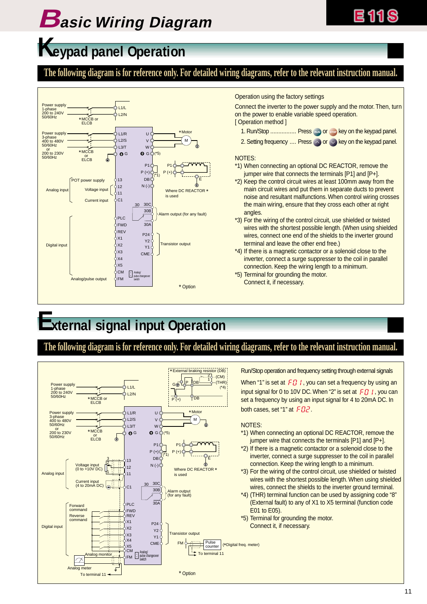# **Basic Wiring Diagram**

# **Keypad panel Operation**

### **The following diagram is for reference only. For detailed wiring diagrams, refer to the relevant instruction manual.**



Operation using the factory settings

Connect the inverter to the power supply and the motor. Then, turn on the power to enable variable speed operation. [ Operation method ]

- 1. Run/Stop .................. Press number or stop key on the keypad panel.
- 2. Setting frequency .... Press  $\Diamond$  or  $\Diamond$  key on the keypad panel.

#### NOTES:

- \*1) When connecting an optional DC REACTOR, remove the jumper wire that connects the terminals [P1] and [P+].
- \*2) Keep the control circuit wires at least 100mm away from the main circuit wires and put them in separate ducts to prevent noise and resultant malfunctions. When control wiring crosses the main wiring, ensure that they cross each other at right angles.
- \*3) For the wiring of the control circuit, use shielded or twisted wires with the shortest possible length. (When using shielded wires, connect one end of the shields to the inverter ground terminal and leave the other end free.)
- \*4) If there is a magnetic contactor or a solenoid close to the inverter, connect a surge suppresser to the coil in parallel connection. Keep the wiring length to a minimum.
- \*5) Terminal for grounding the motor. Connect it, if necessary.

# **External signal input Operation**

### **The following diagram is for reference only. For detailed wiring diagrams, refer to the relevant instruction manual.**



Run/Stop operation and frequency setting through external signals

When "1" is set at  $F \ddot{H}$  I, you can set a frequency by using an input signal for 0 to 10V DC. When "2" is set at  $F \ddot{J}$  , you can set a frequency by using an input signal for 4 to 20mA DC. In both cases, set "1" at  $FBZ$ .

#### NOTES:

- \*1) When connecting an optional DC REACTOR, remove the jumper wire that connects the terminals [P1] and [P+].
- \*2) If there is a magnetic contactor or a solenoid close to the inverter, connect a surge suppresser to the coil in parallel connection. Keep the wiring length to a minimum.
- \*3) For the wiring of the control circuit, use shielded or twisted wires with the shortest possible length. When using shielded wires, connect the shields to the inverter ground terminal.
- \*4) (THR) terminal function can be used by assigning code "8" (External fault) to any of X1 to X5 terminal (function code E01 to E05).
- \*5) Terminal for grounding the motor. Connect it, if necessary.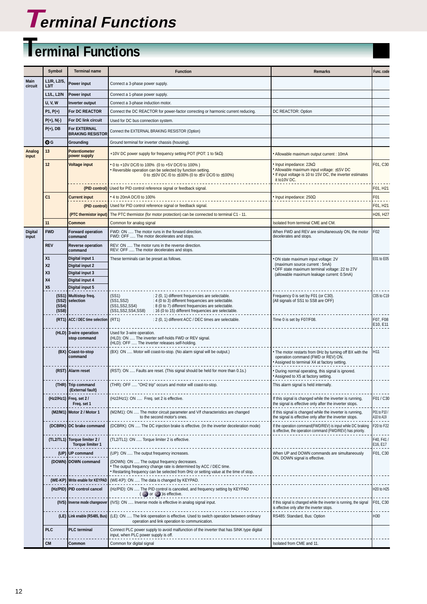

# **Terminal Functions**

|                         | Symbol                      | <b>Terminal name</b>                                    | <b>Function</b>                                                                                                                                                                                                           | <b>Remarks</b>                                                                                                                                        | Func. code                 |
|-------------------------|-----------------------------|---------------------------------------------------------|---------------------------------------------------------------------------------------------------------------------------------------------------------------------------------------------------------------------------|-------------------------------------------------------------------------------------------------------------------------------------------------------|----------------------------|
| Main<br>circuit         | L1/R, L2/S.<br>L3/T         | Power input                                             | Connect a 3-phase power supply.                                                                                                                                                                                           |                                                                                                                                                       |                            |
|                         | L1/L, L2/N                  | Power input                                             | Connect a 1-phase power supply.                                                                                                                                                                                           |                                                                                                                                                       |                            |
|                         | <b>U, V, W</b>              | Inverter output                                         | Connect a 3-phase induction motor.                                                                                                                                                                                        |                                                                                                                                                       |                            |
|                         | $P1, P(+)$                  | For DC REACTOR                                          | Connect the DC REACTOR for power-factor correcting or harmonic current reducing.                                                                                                                                          | DC REACTOR: Option                                                                                                                                    |                            |
|                         | $P(+), N(-)$                | For DC link circuit                                     | Used for DC bus connection system.                                                                                                                                                                                        |                                                                                                                                                       |                            |
|                         | $P(+)$ , DB                 | <b>For EXTERNAL</b><br><b>BRAKING RESISTOR</b>          | Connect the EXTERNAL BRAKING RESISTOR (Option)                                                                                                                                                                            |                                                                                                                                                       |                            |
|                         | ΘG                          | Grounding                                               | Ground terminal for inverter chassis (housing).                                                                                                                                                                           |                                                                                                                                                       |                            |
| Analog<br>input         | 13                          | <b>Potentiometer</b><br>power supply                    | +10V DC power supply for frequency setting POT (POT: 1 to 5kΩ)                                                                                                                                                            | Allowable maximum output current : 10mA                                                                                                               |                            |
|                         | 12                          | <b>Voltage input</b>                                    | • 0 to +10V DC/0 to 100% (0 to +5V DC/0 to 100%)<br>. Reversible operation can be selected by function setting.<br>0 to ±10V DC /0 to ±100% (0 to ±5V DC/0 to ±100%)                                                      | Input impedance: $22k\Omega$<br>Allowable maximum input voltage: ±15V DC<br>If input voltage is 10 to 15V DC, the inverter estimates<br>it to 10 VDC. | F01, C30                   |
|                         |                             |                                                         | (PID control) Used for PID control reference signal or feedback signal.                                                                                                                                                   |                                                                                                                                                       | F01, H21                   |
|                         | C <sub>1</sub>              | <b>Current input</b>                                    | • 4 to 20mA DC/0 to 100%                                                                                                                                                                                                  | Input impedance: $250\Omega$                                                                                                                          | F01                        |
|                         | (PID control)               |                                                         | Used for PID control reference signal or feedback signal.                                                                                                                                                                 |                                                                                                                                                       | F01, H21                   |
|                         |                             | (PTC thermistor input)                                  | The PTC thermistor (for motor protection) can be connected to terminal C1 - 11.                                                                                                                                           |                                                                                                                                                       | H26, H27                   |
|                         | 11                          | Common                                                  | Common for analog signal                                                                                                                                                                                                  | Isolated from terminal CME and CM.                                                                                                                    |                            |
| <b>Digital</b><br>input | <b>FWD</b>                  | <b>Forward operation</b><br>command                     | FWD: ON  The motor runs in the forward direction.<br>FWD: OFF  The motor decelerates and stops.                                                                                                                           | When FWD and REV are simultaneously ON, the motor<br>decelerates and stops.                                                                           | F <sub>02</sub>            |
|                         | <b>REV</b>                  | <b>Reverse operation</b><br>command                     | REV: ON  The motor runs in the reverse direction.<br>REV: OFF  The motor decelerates and stops.                                                                                                                           |                                                                                                                                                       |                            |
|                         | X <sub>1</sub>              | Digital input 1                                         | These terminals can be preset as follows.                                                                                                                                                                                 | ON state maximum input voltage: 2V                                                                                                                    | E01 to E05                 |
|                         | <b>X2</b>                   | Digital input 2                                         |                                                                                                                                                                                                                           | (maximum source current : 5mA)<br>OFF state maximum terminal voltage: 22 to 27V                                                                       |                            |
|                         | X <sub>3</sub>              | Digital input 3                                         |                                                                                                                                                                                                                           | (allowable maximum leakage current: 0.5mA)                                                                                                            |                            |
|                         | <b>X4</b><br>X <sub>5</sub> | Digital input 4<br>Digital input 5                      |                                                                                                                                                                                                                           |                                                                                                                                                       |                            |
|                         |                             | (SS1) Multistep freq.                                   | (SS1)<br>: 2 (0, 1) different frequencies are selectable.                                                                                                                                                                 | Frequency 0 is set by F01 (or C30).                                                                                                                   | C05 to C19                 |
|                         | (SS4)<br>(SS8)              | (SS2) selection                                         | : 4 (0 to 3) different frequencies are selectable.<br>(SS1, SS2)<br>(SS1, SS2, SS4)<br>: 8 (0 to 7) different frequencies are selectable.<br>(SS1, SS2, SS4, SS8)<br>: 16 (0 to 15) different frequencies are selectable. | (All signals of SS1 to SS8 are OFF)                                                                                                                   |                            |
|                         |                             | (RT1) ACC / DEC time selection                          | (RT1)<br>: 2 (0, 1) different ACC / DEC times are selectable.                                                                                                                                                             | Time 0 is set by F07/F08.                                                                                                                             | F07, F08<br>E10, E11       |
|                         |                             | (HLD) 3-wire operation<br>stop command                  | Used for 3-wire operation.<br>(HLD): ON  The inverter self-holds FWD or REV signal.<br>(HLD): OFF  The inverter releases self-holding.                                                                                    |                                                                                                                                                       |                            |
|                         |                             | (BX) Coast-to-stop<br>command                           | (BX): ON  Motor will coast-to-stop. (No alarm signal will be output.)                                                                                                                                                     | • The motor restarts from 0Hz by turning off BX with the<br>operation command (FWD or REV) ON.<br>Assigned to terminal X4 at factory setting.         | H11                        |
|                         |                             | (RST) Alarm reset                                       | (RST): ON  Faults are reset. (This signal should be held for more than 0.1s.)                                                                                                                                             | · During normal operating, this signal is ignored.<br>Assigned to X5 at factory setting.                                                              |                            |
|                         |                             | (THR) Trip command<br>(External fault)                  | (THR): OFF  "OH2 trip" occurs and motor will coast-to-stop.                                                                                                                                                               | This alarm signal is held internally.                                                                                                                 |                            |
|                         |                             | (Hz2/Hz1) Freq. set 2 /<br>Freq. set 1                  | (Hz2/Hz1): ON  Freq. set 2 is effective.                                                                                                                                                                                  | If this signal is changed while the inverter is running,<br>the signal is effective only after the inverter stops.                                    | F01/C30                    |
|                         |                             | (M2/M1) Motor 2 / Motor 1                               | (M2/M1): ON  The motor circuit parameter and V/f characteristics are changed<br>to the second motor's ones.                                                                                                               | If this signal is changed while the inverter is running,<br>the signal is effective only after the inverter stops.                                    | P01 to P10 /<br>A10 to A19 |
|                         |                             | (DCBRK) DC brake command                                | (DCBRK): ON  The DC injection brake is effective. (In the inverter deceleration mode)                                                                                                                                     | If the operation command(FWD/REV) is input while DC braking<br>is effective, the operation command (FWD/REV) has priority.                            | F20 to F22                 |
|                         |                             | (TL2/TL1) Torque limiter 2 /<br><b>Torque limiter 1</b> | (TL2/TL1): ON  Torque limiter 2 is effective.                                                                                                                                                                             |                                                                                                                                                       | F40, F41/<br>E16, E17      |
|                         |                             | (UP) UP command                                         | (UP): ON  The output frequency increases.                                                                                                                                                                                 | When UP and DOWN commands are simultaneously<br>ON, DOWN signal is effective.                                                                         | F01, C30                   |
|                         |                             | (DOWN) DOWN command                                     | (DOWN): ON  The output frequency decreases.<br>. The output frequency change rate is determined by ACC / DEC time.<br>• Restarting frequency can be selected from 0Hz or setting value at the time of stop.               |                                                                                                                                                       |                            |
|                         |                             | (WE-KP) Write enable for KEYPAD                         | (WE-KP): ON  The data is changed by KEYPAD.                                                                                                                                                                               |                                                                                                                                                       |                            |
|                         |                             | (Hz/PID) PID control cancel                             | (Hz/PID): ON  The PID control is canceled, and frequency setting by KEYPAD<br>$\bullet$ or $\bullet$ ) is effective.                                                                                                      |                                                                                                                                                       | H20 to H25                 |
|                         |                             | (IVS) Inverse mode changeover                           | (IVS): ON  Inverse mode is effective in analog signal input.                                                                                                                                                              | If this signal is changed while the inverter is running, the signal<br>is effective only after the inverter stops.                                    | F01, C30                   |
|                         |                             |                                                         | (LE) Link enable (RS485, Bus) (LE): ON  The link opereation is effective. Used to switch operation between ordinary<br>operation and link operation to communication.                                                     | RS485: Standard, Bus: Option                                                                                                                          | H30                        |
|                         | <b>PLC</b>                  | <b>PLC</b> terminal                                     | Connect PLC power supply to avoid malfunction of the inverter that has SINK type digital<br>input, when PLC power supply is off.                                                                                          |                                                                                                                                                       |                            |
|                         | <b>CM</b>                   | Common                                                  | Common for digital signal                                                                                                                                                                                                 | Isolated from CME and 11.                                                                                                                             |                            |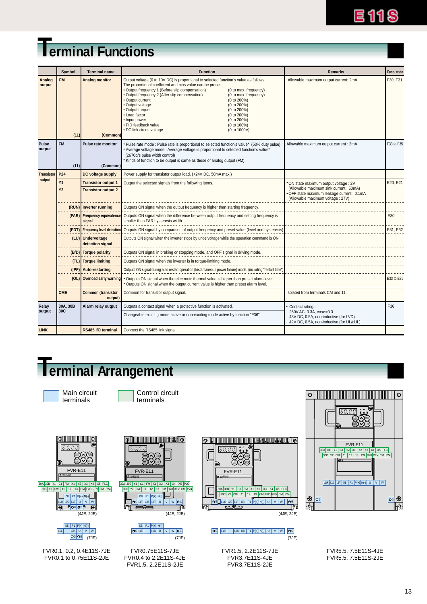

# **Terminal Functions**

|                   |                        | Symbol | <b>Terminal name</b>                                     | <b>Function</b>                                                                                                                                                                                                                                                                                                                                                                                                                                                                                                                                                        | <b>Remarks</b>                                                                                                                                                     | Func, code |
|-------------------|------------------------|--------|----------------------------------------------------------|------------------------------------------------------------------------------------------------------------------------------------------------------------------------------------------------------------------------------------------------------------------------------------------------------------------------------------------------------------------------------------------------------------------------------------------------------------------------------------------------------------------------------------------------------------------------|--------------------------------------------------------------------------------------------------------------------------------------------------------------------|------------|
| Analog<br>output  | <b>FM</b>              | (11)   | <b>Analog monitor</b><br>(Common)                        | Output voltage (0 to 10V DC) is proportional to selected function's value as follows.<br>The proportional coefficient and bias value can be preset.<br>• Output frequency 1 (Before slip compensation)<br>(0 to max. frequency)<br>· Output frequency 2 (After slip compensation)<br>(0 to max. frequency)<br>• Output current<br>(0 to 200%)<br>· Output voltage<br>(0 to 200%)<br>• Output torque<br>(0 to 200%)<br>• Load factor<br>(0 to 200%)<br>• Input power<br>(0 to 200%)<br>· PID feedback value<br>(0 to 100%)<br>• DC link circuit voltage<br>(0 to 1000V) | Allowable maximum output current: 2mA                                                                                                                              | F30, F31   |
| Pulse<br>output   | <b>FM</b>              | (11)   | <b>Pulse rate monitor</b><br>(Common)                    | Pulse rate mode : Pulse rate is proportional to selected function's value* (50% duty pulse)<br>* Average voltage mode : Average voltage is proportional to selected function's value*<br>(2670p/s pulse width control)<br>Kinds of function to be output is same as those of analog output (FM).                                                                                                                                                                                                                                                                       | Allowable maximum output current : 2mA                                                                                                                             | F33 to F35 |
| <b>Transistor</b> | P <sub>24</sub>        |        | DC voltage supply                                        | Power supply for transistor output load. (+24V DC, 50mA max.)                                                                                                                                                                                                                                                                                                                                                                                                                                                                                                          |                                                                                                                                                                    |            |
| output            | <b>Y1</b><br><b>Y2</b> |        | <b>Transistor output 1</b><br><b>Transistor output 2</b> | Output the selected signals from the following items.                                                                                                                                                                                                                                                                                                                                                                                                                                                                                                                  | ON state maximum output voltage : 2V<br>(Allowable maximum sink current : 50mA)<br>. OFF state maximum leakage current : 0.1mA<br>(Allowable maximum voltage: 27V) | E20, E21   |
|                   |                        |        | (RUN) Inverter running                                   | Outputs ON signal when the output frequency is higher than starting frequency.                                                                                                                                                                                                                                                                                                                                                                                                                                                                                         |                                                                                                                                                                    |            |
|                   |                        |        | signal                                                   | (FAR) Frequency equivalence Outputs ON signal when the difference between output frequency and setting frequency is<br>smaller than FAR hysteresis width.                                                                                                                                                                                                                                                                                                                                                                                                              |                                                                                                                                                                    | E30        |
|                   |                        |        |                                                          | (FDT) Frequency level detection Outputs ON signal by comparison of output frequency and preset value (level and hysteresis).                                                                                                                                                                                                                                                                                                                                                                                                                                           |                                                                                                                                                                    | E31, E32   |
|                   |                        |        | (LU) Undervoltage<br>detection signal                    | Outputs ON signal when the inverter stops by undervoltage while the operation command is ON.                                                                                                                                                                                                                                                                                                                                                                                                                                                                           |                                                                                                                                                                    |            |
|                   |                        |        | (B/D) Torque polarity                                    | Outputs ON signal in braking or stopping mode, and OFF signal in driving mode.                                                                                                                                                                                                                                                                                                                                                                                                                                                                                         |                                                                                                                                                                    |            |
|                   |                        |        | (TL) Torque limiting                                     | Outputs ON signal when the inverter is in torque-limiting mode.                                                                                                                                                                                                                                                                                                                                                                                                                                                                                                        |                                                                                                                                                                    |            |
|                   |                        |        | (IPF) Auto-restarting                                    | Outputs ON signal during auto restart operation (Instantaneous power failure) mode. (including "restart time")                                                                                                                                                                                                                                                                                                                                                                                                                                                         |                                                                                                                                                                    |            |
|                   |                        |        | (OL) Overload early warning                              | . Outputs ON signal when the electronic thermal value is higher than preset alarm level.<br>. Outputs ON signal when the output current value is higher than preset alarm level.                                                                                                                                                                                                                                                                                                                                                                                       |                                                                                                                                                                    | E33 to E35 |
|                   | <b>CME</b>             |        | <b>Common (transistor</b><br>output)                     | Common for transistor output signal.                                                                                                                                                                                                                                                                                                                                                                                                                                                                                                                                   | Isolated from terminals CM and 11.                                                                                                                                 |            |
| Relay             | 30A, 30B               |        | Alarm relay output                                       | Outputs a contact signal when a protective function is activated.                                                                                                                                                                                                                                                                                                                                                                                                                                                                                                      | Contact rating:                                                                                                                                                    | F36        |
| output            | 30C                    |        |                                                          | Changeable exciting mode active or non-exciting mode active by function "F36".                                                                                                                                                                                                                                                                                                                                                                                                                                                                                         | 250V AC, 0.3A, cosø=0.3<br>48V DC, 0.5A, non-inductive (for LVD)<br>42V DC, 0.5A, non-inductive (for UL/cUL)                                                       |            |
| <b>LINK</b>       |                        |        | RS485 I/O terminal                                       | Connect the RS485 link signal.                                                                                                                                                                                                                                                                                                                                                                                                                                                                                                                                         |                                                                                                                                                                    |            |

# **Terminal Arrangement**









FVR0.1, 0.2, 0.4E11S-7JE FVR0.1 to 0.75E11S-2JE



DB P1 P(+) N(-)<br>L1/R L2/N U V W

FVR0.75E11S-7JE FVR0.4 to 2.2E11S-4JE FVR1.5, 2.2E11S-2JE



#### (7JE) (7JE) (7JE) G G G L1/R L2/N DB P1 P(+) N(-) U V W G

FVR1.5, 2.2E11S-7JE FVR3.7E11S-4JE FVR3.7E11S-2JE



FVR5.5, 7.5E11S-4JE FVR5.5, 7.5E11S-2JE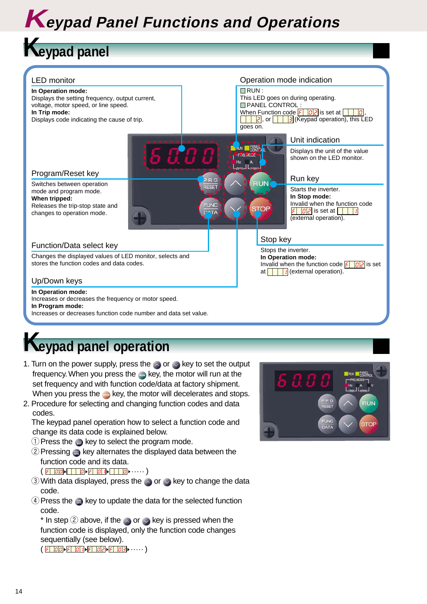# **Keypad Panel Functions and Operations**

# **Keypad panel**



# **Keypad panel operation**

- 1. Turn on the power supply, press the  $\Diamond$  or  $\Diamond$  key to set the output frequency. When you press the and key, the motor will run at the set frequency and with function code/data at factory shipment. When you press the <sub>see</sub> key, the motor will decelerates and stops.
- 2. Procedure for selecting and changing function codes and data codes.
	- The keypad panel operation how to select a function code and change its data code is explained below.
	- $\odot$  Press the  $\bullet$  key to select the program mode.
	- $\Omega$  Pressing  $\omega$  key alternates the displayed data between the function code and its data.  $\left( \begin{array}{c|c|c|c|c} \hline \vert \varepsilon & \bar{\mathcal{C}} \end{array} \right) \triangleright \begin{array}{c|c|c} \hline \vert \hline \vert & \bar{\mathcal{C}} \end{array} \right) \triangleright \begin{array}{c|c|c|c} \hline \vert \varepsilon & \bar{\mathcal{C}} \end{array} \bigtriangleright \begin{array}{c|c|c|c} \hline \vert & \bar{\mathcal{C}} \end{array} \bigtriangleright \cdots \bigtriangleright \begin{array}{c} \hline \vert & \bar{\mathcal{C}} \end{array} \bigtriangleright \cdots \bigtriangleright \begin{array}{$
	- $\circled{3}$  With data displayed, press the  $\sim$  or  $\sim$  key to change the data code.
	- $\overline{4}$  Press the  $\blacksquare$  key to update the data for the selected function code.

\* In step  $\oslash$  above, if the  $\sim$  or  $\oslash$  key is pressed when the function code is displayed, only the function code changes sequentially (see below).  $(\begin{array}{c|c|c|c|c|c} \hline \end{array} \begin{array}{c|c|c|c} \hline \end{array} \begin{array}{c|c|c|c} \hline \end{array} \begin{array}{c|c|c|c} \hline \end{array} \begin{array}{c|c|c|c} \hline \end{array} \begin{array}{c|c|c|c} \hline \end{array} \begin{array}{c|c|c|c} \hline \end{array} \begin{array}{c|c|c|c} \hline \end{array} \begin{array}{c|c|c|c} \hline \end{array} \begin{array}{c|c|c|c} \hline \end{array} \begin{array}{c$ 

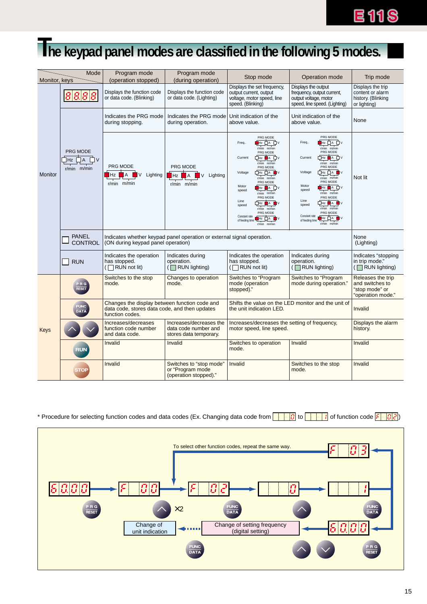# **E118**

# **The keypad panel modes are classified in the following 5 modes.**

| Monitor, keys  | Mode                                                | Program mode<br>(operation stopped)                                                                               | Program mode<br>(during operation)                                        | Stop mode                                                                                                                                                                                                                                                                                                                                                      | Operation mode                                                                                                                                                                                                                                                                                                                                                                    | Trip mode                                                                   |
|----------------|-----------------------------------------------------|-------------------------------------------------------------------------------------------------------------------|---------------------------------------------------------------------------|----------------------------------------------------------------------------------------------------------------------------------------------------------------------------------------------------------------------------------------------------------------------------------------------------------------------------------------------------------------|-----------------------------------------------------------------------------------------------------------------------------------------------------------------------------------------------------------------------------------------------------------------------------------------------------------------------------------------------------------------------------------|-----------------------------------------------------------------------------|
|                | 8888                                                | Displays the function code<br>or data code. (Blinking)                                                            | Displays the function code<br>or data code. (Lighting)                    | Displays the set frequency,<br>output current, output<br>voltage, motor speed, line<br>speed. (Blinking)                                                                                                                                                                                                                                                       | Displays the output<br>frequency, output current,<br>output voltage, motor<br>speed, line speed. (Lighting)                                                                                                                                                                                                                                                                       | Displays the trip<br>content or alarm<br>history. (Blinking<br>or lighting) |
|                |                                                     | Indicates the PRG mode<br>during stopping.                                                                        | Indicates the PRG mode<br>during operation.                               | Unit indication of the<br>above value.                                                                                                                                                                                                                                                                                                                         | Unit indication of the<br>above value.                                                                                                                                                                                                                                                                                                                                            | None                                                                        |
| <b>Monitor</b> | PRG MODE<br>$\Box$<br>$\Box$ A<br>Hz<br>r/min m/min | PRG MODE<br>$\mathsf{A}$<br>$\blacksquare$ V<br>Lighting<br>Hz<br>$r/min$ m/min                                   | PRG MODE<br>$\blacksquare$<br>Hz<br>Lighting<br>V<br>$r/min$ $m/min$      | PRG MODE<br>∎нz □ ∧ □ ∨<br>Freq<br>r/min m/min<br>PRG MODE<br>Current<br>$r/min$ $m/min$<br>PRG MODE<br>Фнz ф∧∎∎v<br>Voltage<br>$r/min$ $m/min$<br>PRG MODE<br>Motor<br><b>I</b> Hz ■A ロV<br>speed<br>r/min m/min<br>PRG MODE<br>Line<br><b>ÖHZ DA D</b> V<br>speed<br>r/min m/min<br>PRG MODE<br>Constant rate<br>BHz ロ∧ ■∨<br>of feeding time<br>r/min m/min | PRG MODE<br>ŤĦz ロA ロV<br>Freq<br>$r/min$ $m/min$<br>PRG MODE<br>□ Hz ■ A □ v<br>Current<br>$r/min$ $m/min$<br>PRG MODE<br>□ Hz □ A ■ V<br>Voltage<br>$r/min$ $m/min$<br>PRG MODE<br>Motor<br>∎hz ■A ロv<br>speed<br>r/min m/min<br>PRG MODE<br>Line<br><b>ロHz 自A ■V</b><br>speed<br>$r/min$ $m/min$<br>PRG MODE<br>Constant rate<br>Hz □A ■V<br>of feeding time<br>$r/min$ $m/min$ | Not lit                                                                     |
|                | <b>PANEL</b><br><b>CONTROL</b>                      | (ON during keypad panel operation)                                                                                | Indicates whether keypad panel operation or external signal operation.    | None<br>(Lighting)                                                                                                                                                                                                                                                                                                                                             |                                                                                                                                                                                                                                                                                                                                                                                   |                                                                             |
|                | <b>RUN</b>                                          | Indicates the operation<br>has stopped.<br>$\Box$ RUN not lit)                                                    | Indicates during<br>operation.<br>$(\Box$ RUN lighting)                   | Indicates the operation<br>has stopped.<br>RUN not lit)                                                                                                                                                                                                                                                                                                        | Indicates during<br>operation.<br>$(\Box$ RUN lighting)                                                                                                                                                                                                                                                                                                                           | Indicates "stopping<br>in trip mode."<br>$(\Box$ RUN lighting)              |
|                | PRG<br><b>RESET</b>                                 | Switches to the stop<br>Changes to operation<br>mode.<br>mode.                                                    |                                                                           | Switches to "Program<br>mode (operation<br>stopped)."                                                                                                                                                                                                                                                                                                          | Switches to "Program<br>mode during operation."                                                                                                                                                                                                                                                                                                                                   | Releases the trip<br>and switches to<br>"stop mode" or<br>"operation mode." |
|                | FUNC<br>DATA                                        | Changes the display between function code and<br>data code, stores data code, and then updates<br>function codes. |                                                                           | the unit indication LED.                                                                                                                                                                                                                                                                                                                                       | Shifts the value on the LED monitor and the unit of                                                                                                                                                                                                                                                                                                                               | Invalid                                                                     |
| Keys           |                                                     | Increases/decreases<br>function code number<br>and data code.                                                     | Increases/decreases the<br>data code number and<br>stores data temporary. | Increases/decreases the setting of frequency,<br>motor speed, line speed.                                                                                                                                                                                                                                                                                      |                                                                                                                                                                                                                                                                                                                                                                                   | Displays the alarm<br>history.                                              |
|                | <b>RUN</b>                                          | Invalid                                                                                                           | Invalid                                                                   | Switches to operation<br>mode.                                                                                                                                                                                                                                                                                                                                 | Invalid                                                                                                                                                                                                                                                                                                                                                                           | Invalid                                                                     |
|                | <b>STOP</b>                                         | Invalid                                                                                                           | Switches to "stop mode"<br>or "Program mode<br>(operation stopped)."      | Invalid                                                                                                                                                                                                                                                                                                                                                        | Switches to the stop<br>mode.                                                                                                                                                                                                                                                                                                                                                     | Invalid                                                                     |

#### \* Procedure for selecting function codes and data codes (Ex. Changing data code from to of function code )

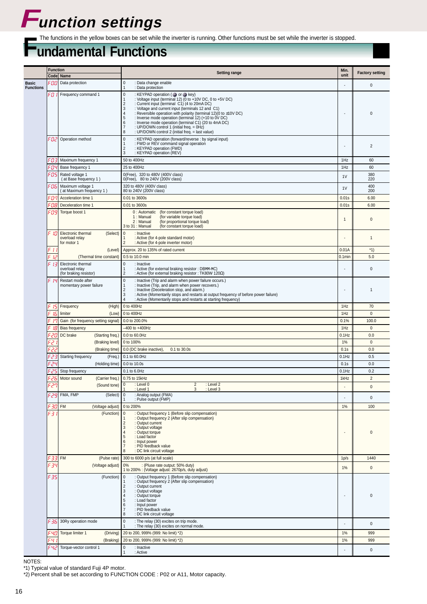# **Function settings**

The functions in the yellow boxes can be set while the inverter is running. Other functions must be set while the inverter is stopped.<br> **UNDAMENTAL FUNCTIONS** 

|                                  | <b>Function</b>      |                                                                 | <b>Setting range</b>                                                                                                                                                                                                                                                                                                                                                                                                                                                                                                                                                                            | Min.                     | <b>Factory setting</b> |
|----------------------------------|----------------------|-----------------------------------------------------------------|-------------------------------------------------------------------------------------------------------------------------------------------------------------------------------------------------------------------------------------------------------------------------------------------------------------------------------------------------------------------------------------------------------------------------------------------------------------------------------------------------------------------------------------------------------------------------------------------------|--------------------------|------------------------|
|                                  |                      | Code Name                                                       |                                                                                                                                                                                                                                                                                                                                                                                                                                                                                                                                                                                                 | unit                     |                        |
| <b>Basic</b><br><b>Functions</b> | וסס -                | Data protection                                                 | $\pmb{0}$<br>: Data change enable<br>: Data protection<br>$\mathbf{1}$                                                                                                                                                                                                                                                                                                                                                                                                                                                                                                                          |                          | $\pmb{0}$              |
|                                  | FO II                | Frequency command 1                                             | $\pmb{0}$<br>: KEYPAD operation ( or or key)<br>: Voltage input (terminal 12) (0 to +10V DC, 0 to +5V DC)<br>$\mathbf{1}$<br>: Current input (terminal C1) (4 to 20mA DC)<br>$\overline{2}$<br>3<br>: Voltage and current input (terminals 12 and C1)<br>$\overline{4}$<br>: Reversible operation with polarity (terminal 12)(0 to ±10V DC)<br>5<br>: Inverse mode operation (terminal 12) (+10 to 0V DC)<br>: Inverse mode operation (terminal C1) (20 to 4mA DC)<br>6<br>: UP/DOWN control 1 (initial freq. = 0Hz)<br>$\overline{7}$<br>: UP/DOWN control 2 (initial freq. = last value)<br>8 | $\overline{\phantom{a}}$ | $\mathbf 0$            |
|                                  |                      | -D2 Operation method                                            | $\pmb{0}$<br>: KEYPAD operation (forward/reverse : by signal input)<br>: FWD or REV command signal operation<br>1<br>$\overline{2}$<br>: KEYPAD operation (FWD)<br>$\mathbf{3}$<br>: KEYPAD operation (REV)                                                                                                                                                                                                                                                                                                                                                                                     |                          | $\overline{2}$         |
|                                  |                      | F <i>Π</i> - 7 Maximum frequency 1                              | 50 to 400Hz                                                                                                                                                                                                                                                                                                                                                                                                                                                                                                                                                                                     | 1Hz                      | 60                     |
|                                  | FOY                  | Base frequency 1                                                | 25 to 400Hz                                                                                                                                                                                                                                                                                                                                                                                                                                                                                                                                                                                     | 1Hz                      | 60                     |
|                                  | ≡ns                  | Rated voltage 1<br>(at Base frequency 1)                        | 0(Free), 320 to 480V (400V class)<br>0(Free), 80 to 240V (200V class)                                                                                                                                                                                                                                                                                                                                                                                                                                                                                                                           | 1 <sup>V</sup>           | 380<br>220             |
|                                  | -06                  | Maximum voltage 1                                               | 320 to 480V (400V class)                                                                                                                                                                                                                                                                                                                                                                                                                                                                                                                                                                        | 1 <sub>V</sub>           | 400                    |
|                                  | FON                  | (at Maximum frequency 1)<br>Acceleration time 1                 | 80 to 240V (200V class)<br>0.01 to 3600s                                                                                                                                                                                                                                                                                                                                                                                                                                                                                                                                                        | 0.01s                    | 200<br>6.00            |
|                                  | F O B                | Deceleration time 1                                             | 0.01 to 3600s                                                                                                                                                                                                                                                                                                                                                                                                                                                                                                                                                                                   | 0.01s                    | 6.00                   |
|                                  | -091                 | Torque boost 1                                                  | 0 : Automatic<br>(for constant torque load)<br>1 : Manual<br>(for variable torque load)<br>2: Manual<br>(for proportional torque load)<br>3 to 31 : Manual<br>(for constant torque load)                                                                                                                                                                                                                                                                                                                                                                                                        | $\mathbf{1}$             | $\mathbf{0}$           |
|                                  | Шl                   | Electronic thermal<br>(Select)<br>overload relay<br>for motor 1 | $\mathbf{0}$<br>: Inactive<br>: Active (for 4-pole standard motor)<br>$\overline{2}$<br>: Active (for 4-pole inverter motor)                                                                                                                                                                                                                                                                                                                                                                                                                                                                    |                          | $\mathbf{1}$           |
|                                  | F 11<br>¢            | (Level)                                                         | Approx. 20 to 135% of rated current                                                                                                                                                                                                                                                                                                                                                                                                                                                                                                                                                             | 0.01A                    | $*1)$                  |
|                                  | l <sub>c</sub><br>13 | (Thermal time constant)<br>Electronic thermal                   | 0.5 to 10.0 min<br>$\pmb{0}$<br>: Inactive                                                                                                                                                                                                                                                                                                                                                                                                                                                                                                                                                      | $0.1$ min                | 5.0                    |
|                                  |                      | overload relay<br>(for braking resistor)                        | : Active (for external braking resistor : DBMM-MC)<br>$\mathbf{1}$<br>$\overline{2}$<br>: Active (for external braking resistor : TK80W 120Ω)                                                                                                                                                                                                                                                                                                                                                                                                                                                   |                          | $\mathbf 0$            |
|                                  | c.<br>-19            | Restart mode after<br>momentary power failure                   | $\mathbf{0}$<br>: Inactive (Trip and alarm when power failure occurs.)<br>: Inactive (Trip, and alarm when power recovers.)<br>$\mathbf{1}$<br>$\overline{2}$<br>: Inactive (Deceleration stop, and alarm.)<br>3<br>: Active (Momentarily stops and restarts at output frequency of before power failure)<br>$\overline{4}$<br>: Active (Momentarily stops and restarts at starting frequency)                                                                                                                                                                                                  |                          | $\overline{1}$         |
|                                  | 751                  | Frequency<br>(High)                                             | 0 to 400Hz                                                                                                                                                                                                                                                                                                                                                                                                                                                                                                                                                                                      | 1Hz                      | 70                     |
|                                  | 15                   | limiter<br>(Low)                                                | 0 to 400Hz                                                                                                                                                                                                                                                                                                                                                                                                                                                                                                                                                                                      | 1Hz                      | $\mathbf{0}$           |
|                                  | -19                  | Gain (for frequency setting signal)                             | 0.0 to 200.0%                                                                                                                                                                                                                                                                                                                                                                                                                                                                                                                                                                                   | 0.1%<br>1Hz              | 100.0<br>$\mathbf{0}$  |
|                                  | 18<br>-201           | <b>Bias frequency</b><br>DC brake<br>(Starting freq.)           | -400 to +400Hz<br>0.0 to 60.0Hz                                                                                                                                                                                                                                                                                                                                                                                                                                                                                                                                                                 | $0.1$ Hz                 | 0.0                    |
|                                  | -2                   | (Braking level)                                                 | 0 to 100%                                                                                                                                                                                                                                                                                                                                                                                                                                                                                                                                                                                       | 1%                       | $\mathbf 0$            |
|                                  | 22                   | (Braking time)                                                  | 0.0 (DC brake inactive),<br>0.1 to 30.0s                                                                                                                                                                                                                                                                                                                                                                                                                                                                                                                                                        | 0.1s                     | 0.0                    |
|                                  | -23                  | Starting frequency<br>(Freq.)                                   | 0.1 to 60.0Hz                                                                                                                                                                                                                                                                                                                                                                                                                                                                                                                                                                                   | $0.1$ Hz                 | 0.5                    |
|                                  | -24                  | (Holding time)                                                  | 0.0 to 10.0s                                                                                                                                                                                                                                                                                                                                                                                                                                                                                                                                                                                    | 0.1s                     | 0.0                    |
|                                  | 25<br>-26            | Stop frequency<br>Motor sound<br>(Carrier freq.)                | 0.1 to 6.0Hz<br>0.75 to 15kHz                                                                                                                                                                                                                                                                                                                                                                                                                                                                                                                                                                   | $0.1$ Hz<br>1kHz         | 0.2<br>$\overline{2}$  |
|                                  | con                  | (Sound tone) 0                                                  | $\overline{2}$<br>: Level 0<br>: Level 2                                                                                                                                                                                                                                                                                                                                                                                                                                                                                                                                                        |                          | $\mathbf 0$            |
|                                  | اوح-                 | FMA, FMP<br>(Select)                                            | : Level 1<br>3<br>: Level 3<br>: Analog output (FMA)<br>$\mathbf 0$<br>: Pulse output (FMP)                                                                                                                                                                                                                                                                                                                                                                                                                                                                                                     | $\overline{\phantom{a}}$ | $\pmb{0}$              |
|                                  | F 30)                | <b>FM</b><br>(Voltage adjust)                                   | 0 to 200%                                                                                                                                                                                                                                                                                                                                                                                                                                                                                                                                                                                       | 1%                       | 100                    |
|                                  | F3 I                 | (Function)                                                      | $\mathbf 0$<br>: Output frequency 1 (Before slip compensation)<br>: Output frequency 2 (After slip compensation)<br>: Output current<br>$\overline{2}$<br>$\mathbf{3}$<br>: Output voltage<br>: Output torque<br>$\overline{4}$<br>5<br>: Load factor<br>: Input power<br>6<br>: PID feedback value<br>$\overline{7}$<br>8<br>: DC link circuit voltage                                                                                                                                                                                                                                         | $\overline{\phantom{a}}$ | $\mathbf{0}$           |
|                                  | - 331                | <b>FM</b><br>(Pulse rate)                                       | 300 to 6000 p/s (at full scale)                                                                                                                                                                                                                                                                                                                                                                                                                                                                                                                                                                 | 1p/s                     | 1440                   |
|                                  | F 34                 | (Voltage adjust)                                                | : (Pluse rate output: 50% duty)<br>0%<br>1 to 200% : (Voltage adjust: 2670p/s, duty adjust)                                                                                                                                                                                                                                                                                                                                                                                                                                                                                                     | 1%                       | $\mathsf 0$            |
|                                  | F 35                 | (Function)                                                      | 0<br>: Output frequency 1 (Before slip compensation)<br>: Output frequency 2 (After slip compensation)<br>: Output current<br>$\overline{2}$<br>$\mathbf{3}$<br>: Output voltage<br>: Output torque<br>$\overline{4}$<br>5<br>: Load factor<br>: Input power<br>6<br>: PID feedback value<br>$\overline{7}$<br>8<br>: DC link circuit voltage                                                                                                                                                                                                                                                   | $\overline{\phantom{a}}$ | $\mathbf 0$            |
|                                  | F 36 I               | 30Ry operation mode                                             | $\pmb{0}$<br>: The relay (30) excites on trip mode.<br>: The relay (30) excites on normal mode.                                                                                                                                                                                                                                                                                                                                                                                                                                                                                                 |                          | $\pmb{0}$              |
|                                  | F YO)<br>FЧ I        | Torque limiter 1<br>(Driving)<br>(Braking)                      | 20 to 200, 999% (999: No limit) *2)<br>20 to 200, 999% (999: No limit) *2)                                                                                                                                                                                                                                                                                                                                                                                                                                                                                                                      | 1%<br>1%                 | 999<br>999             |
|                                  | F Ч2.                | Torque-vector control 1                                         | $\pmb{0}$<br>: Inactive                                                                                                                                                                                                                                                                                                                                                                                                                                                                                                                                                                         |                          |                        |
|                                  |                      |                                                                 | : Active                                                                                                                                                                                                                                                                                                                                                                                                                                                                                                                                                                                        |                          | $\pmb{0}$              |

NOTES:

\*1) Typical value of standard Fuji 4P motor.

\*2) Percent shall be set according to FUNCTION CODE : P02 or A11, Motor capacity.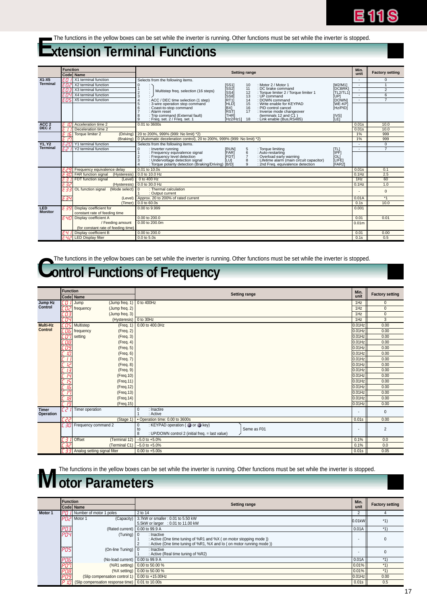

# — The functions in the yellow boxes can be set while the inverter is running. Other functions must be set while the inverter is stopped.<br>■ Xtension Terminal Functions

|                              | <b>Function</b> |                                                        | <b>Setting range</b>                                                                                                                                           | Min.                     | <b>Factory setting</b> |
|------------------------------|-----------------|--------------------------------------------------------|----------------------------------------------------------------------------------------------------------------------------------------------------------------|--------------------------|------------------------|
|                              |                 | Code Name                                              |                                                                                                                                                                | unit                     |                        |
| $X1 - X5$                    | EΩ.             | X1 terminal function                                   | Selects from the following items.                                                                                                                              |                          | 0                      |
| <b>Terminal</b>              | EDZ             | X2 terminal function                                   | [SS1]<br>[SS2]<br>[SS4]<br>: Motor 2 / Motor 1<br>[M2/M1]<br>$\mathbf 0$<br>10<br>÷,                                                                           | $\overline{\phantom{a}}$ | $\overline{1}$         |
|                              | ЕОЗ             | X3 terminal function                                   | ÌDCBRŔI<br>÷<br>11<br>: DC brake command<br>Multistep freq. selection (16 steps)<br>$\overline{2}$<br>: Torque limiter 2 / Torque limiter 1<br>İTL2/TL11<br>12 | ×                        | $\overline{2}$         |
|                              | ЕПЧ             | X4 terminal function                                   | [SS8]<br>: UP command<br>3<br>13<br>[UP]                                                                                                                       |                          | 6                      |
|                              | EOS.            | X5 terminal function                                   | (RT1)<br>(HLD)<br>14<br>: DOWN command<br><b>IDOWNI</b><br>$\overline{A}$<br>: ACC / DEC time selection (1 step)                                               | ×.                       | $\overline{7}$         |
|                              |                 |                                                        | 15<br>İWE-KPİ<br>: Write enable for KEYPAD<br>5<br>: 3-wire operation stop command<br>6<br>: PID control cancel                                                |                          |                        |
|                              |                 |                                                        | : Coast-to-stop command<br>[BX]<br>Hz/PIDÍ<br>16<br>i̇̀RSTl<br>: Alarm reset<br>17<br>: Inverse mode changeover                                                |                          |                        |
|                              |                 |                                                        | : Trip command (External fault)<br>ÌTHRÍ<br>(terminals 12 and C1)<br>[IVS]<br>8                                                                                |                          |                        |
|                              |                 |                                                        | : Freq. set. 2 / Freq. set. 1<br>İLEI`<br>9<br>FHz2/Hz11<br>: Link enable (Bus.RS485)<br>18                                                                    |                          |                        |
| ACC <sub>2</sub>             | F IN            | Acceleration time 2                                    | 0.01 to 3600s                                                                                                                                                  | 0.01s                    | 10.0                   |
| DEC <sub>2</sub>             | F 1 1           | Deceleration time 2                                    |                                                                                                                                                                | 0.01s                    | 10.0                   |
|                              | F 16            | Torque limiter 2<br>(Driving)                          | 20 to 200%, 999% (999: No limit) *2)                                                                                                                           | 1%                       | 999                    |
|                              | F IN            |                                                        | (Braking)   0 (Automatic deceleration control), 20 to 200%, 999% (999: No limit) *2)                                                                           | 1%                       | 999                    |
| <b>Y1.Y2</b>                 | E 20            | Y1 terminal function                                   | Selects from the following items.                                                                                                                              |                          | $\mathbf{0}$           |
| Terminal                     | FP I            | Y2 terminal function                                   | : Inverter running<br>$\mathbf 0$<br>[RUN]<br>: Torque limiting<br>5<br><b>ITLI</b><br>iiPFI                                                                   |                          | $\overline{7}$         |
|                              |                 |                                                        | FAR]<br>6<br>: Frequency equivalence signal<br>: Auto-restarting<br>$\overline{7}$<br>ifdti<br>: Overload early warning<br>: Frequency level detection         |                          |                        |
|                              |                 |                                                        | ÌOL]<br>[LIFE]<br>: Undervoltage detection signal<br>8<br>: Lifetime alarm (main circuit capacitor)<br>ÌLU1<br>3                                               |                          |                        |
|                              |                 |                                                        | : Torque polarity detection (Braking/Driving)<br>ÌFAR21<br>IB/DI<br>: 2nd Freq. equivalence detection<br>9                                                     |                          |                        |
|                              |                 | $E29$ Frequency equivalence delay                      | 0.01 to 10.0s                                                                                                                                                  | 0.01s                    | 0.1                    |
|                              |                 | $E$ 30 FAR function signal<br>(Hysteresis)             | 0.0 to 10.0 Hz                                                                                                                                                 | $0.1$ Hz                 | 2.5                    |
|                              |                 | FDT function signal<br>(Level)                         | 0 to 400 Hz                                                                                                                                                    | 1Hz                      | 60                     |
|                              | E 32            |                                                        | (Hysteresis)   0.0 to 30.0 Hz                                                                                                                                  | $0.1$ Hz                 | 1.0                    |
|                              | E 33            | OL function signal<br>(Mode select)                    | : Thermal calculation<br>$\Omega$                                                                                                                              |                          | $\Omega$               |
|                              |                 |                                                        | : Output current                                                                                                                                               |                          |                        |
|                              | E 34            | (Level)                                                | Approx. 20 to 200% of rated current                                                                                                                            | 0.01A                    | $*_{1}$                |
|                              |                 |                                                        | (Timer) 0.0 to 60.0s                                                                                                                                           | 0.1s                     | 10.0                   |
| <b>LED</b><br><b>Monitor</b> | E 39            | Display coefficient for                                | 0.00 to 9.999                                                                                                                                                  | 0.001                    |                        |
|                              |                 | constant rate of feeding time                          |                                                                                                                                                                |                          |                        |
|                              | Е ЧО            | Display coefficient A                                  | 0.00 to 200.0                                                                                                                                                  | 0.01                     | 0.01                   |
|                              |                 | / Feeding amount                                       | 0.00 to 200.0m                                                                                                                                                 | 0.01 <sub>m</sub>        |                        |
|                              |                 | (for constant rate of feeding time)                    |                                                                                                                                                                |                          |                        |
|                              |                 | E 4 / Display coefficient B<br>F 42 LED Display filter | 0.00 to 200.0<br>$0.0$ to $5.0s$                                                                                                                               | 0.01                     | 0.00<br>0.5            |
|                              |                 |                                                        |                                                                                                                                                                | 0.1s                     |                        |

# The functions in the yellow boxes can be set while the inverter is running. Other functions must be set while the inverter is stopped.<br> **Control Functions of Frequency**

| unit<br>1Hz<br>1Hz<br>1Hz<br>1Hz | <b>Factory setting</b><br>$\mathbf{0}$<br>$\mathbf{0}$<br>$\mathsf 0$ |
|----------------------------------|-----------------------------------------------------------------------|
|                                  |                                                                       |
|                                  |                                                                       |
|                                  |                                                                       |
|                                  |                                                                       |
|                                  | 3                                                                     |
| 0.01Hz                           | 0.00                                                                  |
| 0.01Hz                           | 0.00                                                                  |
| 0.01Hz                           | 0.00                                                                  |
| 0.01Hz                           | 0.00                                                                  |
| $0.01$ Hz                        | 0.00                                                                  |
| 0.01Hz                           | 0.00                                                                  |
| 0.01Hz                           | 0.00                                                                  |
| 0.01Hz                           | 0.00                                                                  |
| 0.01Hz                           | 0.00                                                                  |
| 0.01Hz                           | 0.00                                                                  |
| 0.01Hz                           | 0.00                                                                  |
| 0.01Hz                           | 0.00                                                                  |
| 0.01Hz                           | 0.00                                                                  |
| 0.01Hz                           | 0.00                                                                  |
|                                  | 0.00                                                                  |
|                                  | $\Omega$                                                              |
| 0.01s                            | 0.00                                                                  |
|                                  |                                                                       |
|                                  | $\overline{2}$                                                        |
|                                  | 0.0                                                                   |
|                                  | 0.0                                                                   |
| 0.01s                            | 0.05                                                                  |
|                                  | $0.01$ Hz<br>0.1%<br>0.1%                                             |

The functions in the yellow boxes can be set while the inverter is running. Other functions must be set while the inverter is stopped.<br> **MOTOR PARAMETERS** 

|         | <b>Function</b>         | Code Name                                        | <b>Setting range</b>                                                                                                                                    | Min.<br>unit | <b>Factory setting</b> |
|---------|-------------------------|--------------------------------------------------|---------------------------------------------------------------------------------------------------------------------------------------------------------|--------------|------------------------|
| Motor 1 |                         | PH / Number of motor 1 poles                     | 2 to 14                                                                                                                                                 |              |                        |
|         |                         | $PBZ$ Motor 1                                    | (Capacity) 3.7kW or smaller: 0.01 to 5.50 kW<br>5.5kW or larger : 0.01 to 11.00 kW                                                                      | 0.01kW       | $*1)$                  |
|         | <mark>РОЗ</mark><br>РОЧ | (Rated current) 0.00 to 99.9 A                   |                                                                                                                                                         | 0.01A        | $*1)$                  |
|         |                         | $(Tuning)$ 0                                     | : Inactive<br>: Active (One time tuning of %R1 and %X (on motor stopping mode))<br>: Active (One time tuning of %R1, %X and lo (on motor running mode)) |              |                        |
|         | POS                     | (On-line Tuning) $\vert 0 \vert$                 | : Inactive<br>: Active (Real time tuning of %R2)                                                                                                        |              |                        |
|         |                         | (No-load current) $\vert$ 0.00 to 99.9 A         |                                                                                                                                                         | 0.01A        | $*1$                   |
|         |                         |                                                  | (%R1 setting) 0.00 to 50.00 %                                                                                                                           | 0.01%        | $*4$                   |
|         |                         |                                                  | (%X setting) 0.00 to 50.00 %                                                                                                                            | 0.01%        | $*1$                   |
|         |                         | (Slip compensation control 1) 0.00 to +15.00Hz   |                                                                                                                                                         | $0.01$ Hz    | 0.00                   |
|         |                         | (Slip compensation response time) 0.01 to 10.00s |                                                                                                                                                         | 0.01s        | 0.5                    |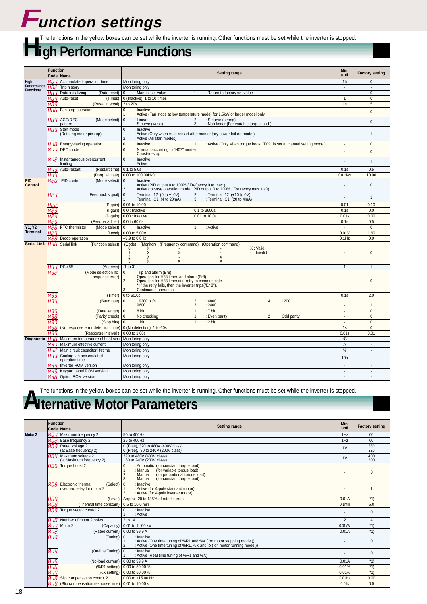# **Function settings**

# The functions in the yellow boxes can be set while the inverter is running. Other functions must be set while the inverter is stopped.<br> **High Performance Functions**

|                                 | <b>Function</b> |                                                               |                                                                                                                                                                                                                                                    | Min.                     |                        |  |  |  |  |
|---------------------------------|-----------------|---------------------------------------------------------------|----------------------------------------------------------------------------------------------------------------------------------------------------------------------------------------------------------------------------------------------------|--------------------------|------------------------|--|--|--|--|
|                                 |                 | Codel Name                                                    | <b>Setting range</b>                                                                                                                                                                                                                               | unit                     | <b>Factory setting</b> |  |  |  |  |
| High                            | 40 II           | Accumulated operation time                                    | Monitoring only                                                                                                                                                                                                                                    | 1 <sub>h</sub>           | 0                      |  |  |  |  |
| Performance<br><b>Functions</b> | нпг             | Trip history                                                  | Monitoring only                                                                                                                                                                                                                                    | $\overline{a}$           | $\overline{a}$         |  |  |  |  |
|                                 | หกล             | Data initializing<br>(Data reset                              | : Manual set value<br>$\Omega$<br>: Return to factory set value                                                                                                                                                                                    | $\sim$                   | $\overline{0}$         |  |  |  |  |
|                                 | нач             | Auto-reset<br>(Times)                                         | 0 (Inactive), 1 to 10 times                                                                                                                                                                                                                        | $\mathbf{1}$             | $\mathbf{0}$           |  |  |  |  |
|                                 | нns             | (Reset interval)                                              | 2 to 20s                                                                                                                                                                                                                                           | 1s                       | 5                      |  |  |  |  |
|                                 | 806             | Fan stop operation                                            | : Inactive<br>$\Omega$<br>: Active (Fan stops at low temperature mode) for 1.5kW or larger model only                                                                                                                                              |                          | $\mathbf{0}$           |  |  |  |  |
|                                 | רסא             | ACC/DEC<br>(Mode select)<br>pattern                           | $\overline{0}$<br>: Linear<br>: S-curve (strong)<br>$\overline{2}$<br>3<br>: S-curve (weak)<br>: Non-linear (For variable torque load)                                                                                                             |                          | $\mathbf 0$            |  |  |  |  |
|                                 | HO9             | Start mode<br>(Rotating motor pick up)                        | $\overline{0}$<br>: Inactive<br>: Active (Only when Auto-restart after momentary power failure mode)<br>1<br>: Active (All start modes)<br>$\overline{2}$                                                                                          |                          | $\mathbf{1}$           |  |  |  |  |
|                                 | អ រន            | Energy-saving operation                                       | $\overline{0}$<br>: Active (Only when torque boost "F09" is set at manual setting mode.)<br>: Inactive                                                                                                                                             | $\overline{\phantom{a}}$ | $\mathbf{0}$           |  |  |  |  |
|                                 | H 1 1           | DEC mode                                                      | $\Omega$<br>: Normal (according to "H07" mode)<br>: Coast-to-stop                                                                                                                                                                                  |                          | $\mathbf{0}$           |  |  |  |  |
|                                 | שו א            | Instantaneous overcurrent<br>limiting                         | $\pmb{0}$<br>: Inactive<br>: Active                                                                                                                                                                                                                |                          | $\mathbf{1}$           |  |  |  |  |
|                                 | H 13            | (Restart time)<br>Auto-restart                                | $0.1$ to $5.0s$                                                                                                                                                                                                                                    | 0.1s                     | 0.5                    |  |  |  |  |
|                                 | H 14            | (Freq. fall rate)                                             | 0.00 to 100.00Hz/s                                                                                                                                                                                                                                 | $0.01$ Hz/s              | 10.00                  |  |  |  |  |
| <b>PID</b><br><b>Control</b>    | нго             | (Mode select)<br>PID control                                  | : Inactive<br>$\mathbf 0$<br>: Active (PID output 0 to 100% / Frefuency 0 to max.)<br>: Active (Inverse operation mode: PID output 0 to 100% / Frefuency max. to 0)<br>$\overline{2}$                                                              |                          | $\pmb{0}$              |  |  |  |  |
|                                 | нг              | (Feedback signal)                                             | : Terminal 12 (+10 to 0V)<br>: Terminal 12 (0 to +10V)<br>$\overline{2}$<br>$\mathbf 0$<br>: Terminal C1 (4 to 20mA)<br>3<br>: Terminal C1 (20 to 4mA)                                                                                             |                          | $\mathbf{1}$           |  |  |  |  |
|                                 |                 |                                                               | (P-gain) 0.01 to 10.00                                                                                                                                                                                                                             | 0.01                     | 0.10                   |  |  |  |  |
|                                 |                 |                                                               | (I-gain) 0.0 : Inactive<br>0.1 to 3600s                                                                                                                                                                                                            | 0.1s                     | 0.0                    |  |  |  |  |
|                                 | 424             |                                                               | (D-gain) 0.00 : Inactive<br>0.01 to 10.0s                                                                                                                                                                                                          | 0.01s                    | 0.00                   |  |  |  |  |
|                                 | ypc             | 0.0 to 60.0s<br>(Feedback filter)                             |                                                                                                                                                                                                                                                    |                          |                        |  |  |  |  |
| Y1, Y2                          | н26             | PTC thermistor<br>(Mode select)                               | : Active<br>$\mathbf{0}$<br>: Inactive<br>$\mathbf{1}$                                                                                                                                                                                             | $\sim$                   | $\mathbf{0}$           |  |  |  |  |
| <b>Terminal</b>                 | ףכא             | (Level)                                                       | 0.00 to 5.00V                                                                                                                                                                                                                                      | 0.01V                    | 1.60                   |  |  |  |  |
|                                 | 82R             | Droop operation                                               | $-9.9$ to $0.0$ Hz                                                                                                                                                                                                                                 | $0.1$ Hz                 | 0.0                    |  |  |  |  |
| <b>Serial Link</b>              | x30             | Serial link<br>(Function select)                              | (Code)<br>(Monitor)<br>(Frequency command) (Operation command)<br>X: Valid<br>0:<br>Х<br>Χ<br>Χ<br>1:<br>- : Invalid<br>Χ<br>$\mathsf X$<br>2:<br>$\times$<br>X<br>X<br>3:                                                                         |                          | 0                      |  |  |  |  |
|                                 | H3 II           | <b>RS 485</b><br>(Address)                                    | 1 to 31                                                                                                                                                                                                                                            | $\mathbf{1}$             | $\mathbf{1}$           |  |  |  |  |
|                                 | 432             | (Mode select on no<br>response error)                         | : Trip and alarm (Er8)<br>0<br>: Operation for H33 timer, and alarm (Er8)<br>1<br>: Operation for H33 timer, and retry to communicate.<br>$\overline{2}$<br>* If the retry fails, then the inverter trips ("Er 8").<br>: Continuous operation<br>3 |                          | 0                      |  |  |  |  |
|                                 | 433             | (Timer)                                                       | 0 to 60.0s                                                                                                                                                                                                                                         | 0.1s                     | 2.0                    |  |  |  |  |
|                                 | 839             | (Baud rate)                                                   | 0<br>: 19200 bit/s<br>$\overline{2}$<br>:4800<br>: 1200<br>$\overline{4}$<br>3<br>: 9600<br>: 2400                                                                                                                                                 |                          | $\mathbf{1}$           |  |  |  |  |
|                                 |                 | (Data length) $\vert 0 \vert$                                 | : 8 bit<br>: 7 bit<br>$\mathbf{1}$                                                                                                                                                                                                                 | $\overline{a}$           | $\Omega$               |  |  |  |  |
|                                 | 436             | (Parity check) 0                                              | : No checking<br>$\mathbf{1}$<br>: Even parity<br>$\overline{2}$<br>: Odd parity                                                                                                                                                                   | $\overline{\phantom{a}}$ | $\mathbf{0}$           |  |  |  |  |
|                                 | нзп             | (Stop bits)                                                   | $\overline{1}$<br>: 2 bit<br>$\overline{0}$<br>: 1 bit                                                                                                                                                                                             | $\overline{a}$           | $\mathbf{0}$           |  |  |  |  |
|                                 | 838             | (No response error detection time) 0 (No detection), 1 to 60s |                                                                                                                                                                                                                                                    | 1s                       | $\mathbf{0}$           |  |  |  |  |
|                                 | 439             | (Response interval)                                           | 0.00 to 1.00s                                                                                                                                                                                                                                      | 0.01s                    | 0.01                   |  |  |  |  |
| <b>Diagnostic</b>               | 890             | Maximum temperature of heat sink                              | Monitoring only                                                                                                                                                                                                                                    | °C                       | ÷,                     |  |  |  |  |
|                                 | 44 I            | Maximum effective current                                     | Monitoring only                                                                                                                                                                                                                                    | $\overline{A}$           | $\blacksquare$         |  |  |  |  |
|                                 | нчг             | Main circuit capacitor lifetime                               | Monitoring only                                                                                                                                                                                                                                    | %                        | $\overline{a}$         |  |  |  |  |
|                                 | нчэ             | Cooling fan accumulated<br>operation time                     | Monitoring only                                                                                                                                                                                                                                    | 10h                      |                        |  |  |  |  |
|                                 | нчч             | Inverter ROM version                                          | Monitoring only                                                                                                                                                                                                                                    | $\sim$                   | ÷.                     |  |  |  |  |
|                                 |                 | Keypad panel ROM version                                      | Monitoring only                                                                                                                                                                                                                                    | $\blacksquare$           | $\sim$                 |  |  |  |  |
|                                 | нчь             | Option ROM version                                            | Monitoring only                                                                                                                                                                                                                                    | $\overline{\phantom{a}}$ |                        |  |  |  |  |

The functions in the yellow boxes can be set while the inverter is running. Other functions must be set while the inverter is stopped.

# **Alternative Motor Parameters**

|         | <b>Function</b> |                                                                   | <b>Setting range</b>                                                                                                                                                                                 | Min.                     | <b>Factory setting</b> |  |  |
|---------|-----------------|-------------------------------------------------------------------|------------------------------------------------------------------------------------------------------------------------------------------------------------------------------------------------------|--------------------------|------------------------|--|--|
|         |                 | Code Name                                                         |                                                                                                                                                                                                      | unit                     |                        |  |  |
| Motor 2 |                 | Maximum frequency 2                                               | 50 to 400Hz                                                                                                                                                                                          | 1Hz                      | 60                     |  |  |
|         | RO2             | Base frequency 2                                                  | 25 to 400Hz                                                                                                                                                                                          | 1Hz                      | 60                     |  |  |
|         |                 | $\overline{B}$ Rated voltage 2<br>(at Base frequency 2)           | 0 (Free), 320 to 480V (400V class)<br>0 (Free), 80 to 240V (200V class)                                                                                                                              | 1 <sub>V</sub>           | 380<br>220             |  |  |
|         |                 | $\left  RTY\right $ Maximum voltage 2<br>(at Maximum frequency 2) | 320 to 480V (400V class)<br>80 to 240V (200V class)                                                                                                                                                  | 1V                       | 400<br>200             |  |  |
|         | 80S.            | Torque boost 2                                                    | : Automatic (for constant torque load)<br>0<br>(for variable torque load)<br>: Manual<br>(for proportional torque load)<br>$\overline{2}$<br>: Manual<br>3<br>: Manual<br>(for constant torque load) | $\overline{\phantom{a}}$ | $\Omega$               |  |  |
|         | 806.            | Electronic thermal<br>$(Select)$ 0<br>overload relay for motor 2  | : Inactive<br>: Active (for 4-pole standard motor)<br>: Active (for 4-pole inverter motor)                                                                                                           |                          |                        |  |  |
|         | RON             |                                                                   | (Level) Approx. 20 to 135% of rated current                                                                                                                                                          | 0.01A                    | $*1)$                  |  |  |
|         | 808             | (Thermal time constant) $\vert$ 0.5 to 10.0 min                   |                                                                                                                                                                                                      | $0.1$ min                | 5.0                    |  |  |
|         | 809             | Torque vector control 2                                           | : Inactive<br>0<br>: Active                                                                                                                                                                          |                          | $\mathbf 0$            |  |  |
|         |                 | $\vert$ $\vert$ $\vert$ $\vert$ $\vert$ Number of motor 2 poles   | 2 to 14                                                                                                                                                                                              | $\overline{2}$           | $\overline{4}$         |  |  |
|         |                 | $R$ / $\sqrt{l}$ Motor 2                                          | (Capacity) 0.01 to 11.00 kw                                                                                                                                                                          | 0.01kW                   | $*1)$                  |  |  |
|         | R IZ            | (Rated current) 0.00 to 99.9 A                                    |                                                                                                                                                                                                      | 0.01A                    | $*1)$                  |  |  |
|         | R 13            | $(Tuning)$ 0                                                      | : Inactive<br>: Active (One time tuning of %R1 and %X (on motor stopping mode ))<br>: Active (One time tuning of %R1, %X and lo (on motor running mode ))                                            |                          | $\Omega$               |  |  |
|         | 8.14            | (On-line Tuning) $\vert 0 \vert$                                  | : Inactive<br>: Active (Real time tuning of %R1 and %X)                                                                                                                                              |                          | $\Omega$               |  |  |
|         | R 15            | (No-load current) 0.00 to 99.9 A                                  |                                                                                                                                                                                                      | 0.01A                    | $*1)$                  |  |  |
|         | R 15            |                                                                   | (%R1 setting) 0.00 to 50.00 %                                                                                                                                                                        | 0.01%                    | $*1)$                  |  |  |
|         | חי ח            |                                                                   | (%X setting)   0.00 to 50.00 %                                                                                                                                                                       | 0.01%                    | $*1)$                  |  |  |
|         | $R$ 1 $B$       | Slip compensation control 2                                       | $0.00$ to $+15.00$ Hz                                                                                                                                                                                | $0.01$ Hz                | 0.00                   |  |  |
|         |                 | R   9 (Slip compensation resnonse time) 0.01 to 10.00 s           |                                                                                                                                                                                                      | 0.01s                    | 0.5                    |  |  |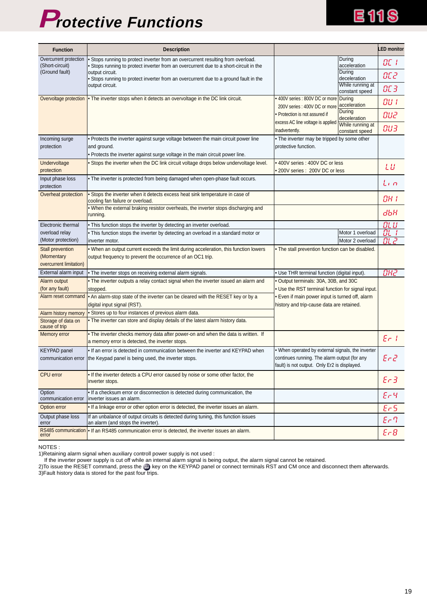# **Protective Functions**

| <b>Function</b>                               | <b>Description</b>                                                                                                                                                        |                                                                                              | <b>LED</b> monitor                |
|-----------------------------------------------|---------------------------------------------------------------------------------------------------------------------------------------------------------------------------|----------------------------------------------------------------------------------------------|-----------------------------------|
| Overcurrent protection<br>(Short-circuit)     | . Stops running to protect inverter from an overcurrent resulting from overload.<br>. Stops running to protect inverter from an overcurrent due to a short-circuit in the | During<br>acceleration                                                                       | OC I                              |
| (Ground fault)                                | output circuit.<br>. Stops running to protect inverter from an overcurrent due to a ground fault in the                                                                   | During<br>deceleration                                                                       | OC 2                              |
|                                               | output circuit.                                                                                                                                                           | While running at<br>constant speed                                                           | ОС З                              |
|                                               | Overvoltage protection • The inverter stops when it detects an overvoltage in the DC link circuit.                                                                        | • 400V series : 800V DC or more During<br>acceleration<br>200V series: 400V DC or more       | OU I                              |
|                                               |                                                                                                                                                                           | During<br>• Protection is not assured if<br>deceleration                                     | OU2                               |
|                                               |                                                                                                                                                                           | excess AC line voltage is applied<br>While running at<br>inadvertently.<br>constant speed    | <b>BU3</b>                        |
| Incoming surge                                | • Protects the inverter against surge voltage between the main circuit power line                                                                                         | . The inverter may be tripped by some other                                                  |                                   |
| protection                                    | and ground.<br>. Protects the inverter against surge voltage in the main circuit power line.                                                                              | protective function.                                                                         |                                   |
| Undervoltage                                  | . Stops the inverter when the DC link circuit voltage drops below undervoltage level.                                                                                     | • 400V series : 400V DC or less                                                              |                                   |
| protection                                    |                                                                                                                                                                           | • 200V series: 200V DC or less                                                               | LШ                                |
| Input phase loss<br>protection                | • The inverter is protected from being damaged when open-phase fault occurs.                                                                                              |                                                                                              | Lin                               |
| Overheat protection                           | • Stops the inverter when it detects excess heat sink temperature in case of<br>cooling fan failure or overload.                                                          |                                                                                              | OH 1                              |
|                                               | . When the external braking resistor overheats, the inverter stops discharging and<br>running.                                                                            |                                                                                              | дЬН                               |
| Electronic thermal                            | . This function stops the inverter by detecting an inverter overload.                                                                                                     |                                                                                              | OL U                              |
| overload relay                                | . This function stops the inverter by detecting an overload in a standard motor or                                                                                        | Motor 1 overload                                                                             | $B\Box$ i                         |
| (Motor protection)<br><b>Stall prevention</b> | inverter motor.<br>. When an output current exceeds the limit during acceleration, this function lowers                                                                   | Motor 2 overload<br>. The stall prevention function can be disabled.                         | DL 2                              |
| (Momentary                                    | output frequency to prevent the occurrence of an OC1 trip.                                                                                                                |                                                                                              |                                   |
| overcurrent limitation)                       |                                                                                                                                                                           |                                                                                              |                                   |
| External alarm input                          | . The inverter stops on receiving external alarm signals.                                                                                                                 | • Use THR terminal function (digital input).                                                 | ОНг                               |
| Alarm output                                  | . The inverter outputs a relay contact signal when the inverter issued an alarm and                                                                                       | • Output terminals: 30A, 30B, and 30C                                                        |                                   |
| (for any fault)                               | stopped.                                                                                                                                                                  | . Use the RST terminal function for signal input.                                            |                                   |
| Alarm reset command                           | • An alarm-stop state of the inverter can be cleared with the RESET key or by a<br>digital input signal (RST).                                                            | . Even if main power input is turned off, alarm<br>history and trip-cause data are retained. |                                   |
| Alarm history memory                          | • Stores up to four instances of previous alarm data.                                                                                                                     |                                                                                              |                                   |
| Storage of data on<br>cause of trip           | . The inverter can store and display details of the latest alarm history data.                                                                                            |                                                                                              |                                   |
| Memory error                                  | . The inverter checks memory data after power-on and when the data is written. If<br>a memory error is detected, the inverter stops.                                      |                                                                                              | $\mathcal{E} \subset \mathcal{E}$ |
| <b>KEYPAD</b> panel                           | • If an error is detected in communication between the inverter and KEYPAD when                                                                                           | . When operated by external signals, the inverter                                            |                                   |
|                                               | communication error   the Keypad panel is being used, the inverter stops.                                                                                                 | continues running. The alarm output (for any<br>fault) is not output. Only Er2 is displayed. | $E r c^2$                         |
| CPU error                                     | . If the inverter detects a CPU error caused by noise or some other factor, the<br>inverter stops.                                                                        |                                                                                              | $E - 3$                           |
| Option<br>communication error                 | . If a checksum error or disconnection is detected during communication, the<br>inverter issues an alarm.                                                                 |                                                                                              | $Ec$ 4                            |
| Option error                                  | . If a linkage error or other option error is detected, the inverter issues an alarm.                                                                                     |                                                                                              | $E-5$                             |
| Output phase loss<br>error                    | If an unbalance of output circuits is detected during tuning, this function issues<br>an alarm (and stops the inverter).                                                  |                                                                                              | $E \cap T$                        |
| RS485 communication<br>error                  | . If an RS485 communication error is detected, the inverter issues an alarm.                                                                                              |                                                                                              | $E - B$                           |

NOTES :

1)Retaining alarm signal when auxiliary controll power supply is not used :

If the inverter power supply is cut off while an internal alarm signal is being output, the alarm signal cannot be retained.

2)To issue the RESET command, press the exect on the KEYPAD panel or connect terminals RST and CM once and disconnect them afterwards. 3)Fault history data is stored for the past four trips.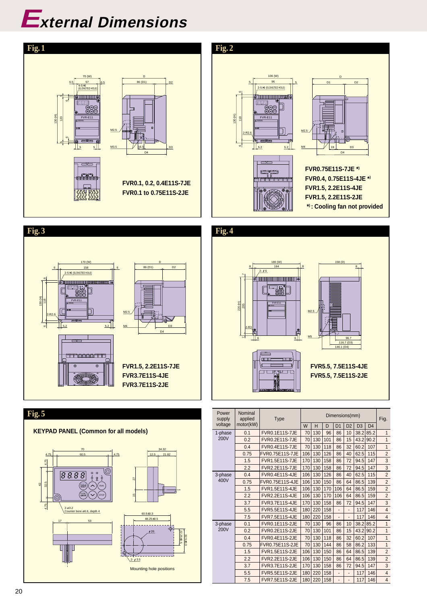

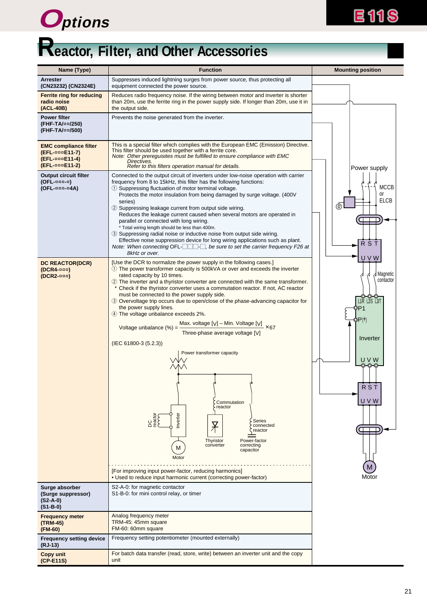



# **Reactor, Filter, and Other Accessories**

| Name (Type)                                                                                        | <b>Function</b>                                                                                                                                                                                                                                                                                                                                                                                                                                                                                                                                                                                                                                                                                                                                                                                                                                                                                                                                                                                                                                                                    | <b>Mounting position</b>                                                                                                 |
|----------------------------------------------------------------------------------------------------|------------------------------------------------------------------------------------------------------------------------------------------------------------------------------------------------------------------------------------------------------------------------------------------------------------------------------------------------------------------------------------------------------------------------------------------------------------------------------------------------------------------------------------------------------------------------------------------------------------------------------------------------------------------------------------------------------------------------------------------------------------------------------------------------------------------------------------------------------------------------------------------------------------------------------------------------------------------------------------------------------------------------------------------------------------------------------------|--------------------------------------------------------------------------------------------------------------------------|
| <b>Arrester</b><br>(CN23232) (CN2324E)                                                             | Suppresses induced lightning surges from power source, thus protecting all<br>equipment connected the power source.                                                                                                                                                                                                                                                                                                                                                                                                                                                                                                                                                                                                                                                                                                                                                                                                                                                                                                                                                                |                                                                                                                          |
| <b>Ferrite ring for reducing</b><br>radio noise<br>(ACL-40B)                                       | Reduces radio frequency noise. If the wiring between motor and inverter is shorter<br>than 20m, use the ferrite ring in the power supply side. If longer than 20m, use it in<br>the output side.                                                                                                                                                                                                                                                                                                                                                                                                                                                                                                                                                                                                                                                                                                                                                                                                                                                                                   |                                                                                                                          |
| <b>Power filter</b><br>(FHF-TA/¤¤/250)<br>(FHF-TA/¤¤/500)                                          | Prevents the noise generated from the inverter.                                                                                                                                                                                                                                                                                                                                                                                                                                                                                                                                                                                                                                                                                                                                                                                                                                                                                                                                                                                                                                    |                                                                                                                          |
| <b>EMC compliance filter</b><br>(EFL-¤¤¤E11-7)<br><b>(EFL-</b> ppp <b>E11-4)</b><br>(EFL-¤¤¤E11-2) | This is a special filter which complies with the European EMC (Emission) Directive.<br>This filter should be used together with a ferrite core.<br>Note: Other prereguisites must be fulfilled to ensure compliance with EMC<br>Directives.<br>Refer to this filters operation manual for details.                                                                                                                                                                                                                                                                                                                                                                                                                                                                                                                                                                                                                                                                                                                                                                                 | Power supply                                                                                                             |
| <b>Output circuit filter</b><br>$(OFL$ -aaa-a)<br>(OFL-¤¤¤-¤4A)                                    | Connected to the output circuit of inverters under low-noise operation with carrier<br>frequency from 8 to 15kHz, this filter has the following functions:<br>1) Suppressing fluctuation of motor terminal voltage.<br>Protects the motor insulation from being damaged by surge voltage. (400V<br>series)<br>(2) Suppressing leakage current from output side wiring.<br>Reduces the leakage current caused when several motors are operated in<br>parallel or connected with long wiring.<br>* Total wiring length should be less than 400m.<br>3) Suppressing radial noise or inductive noise from output side wiring.<br>Effective noise suppression device for long wiring applications such as plant.<br>Note: When connecting OFL- $\Box$ be sure to set the carrier frequency F26 at<br>8kHz or over.                                                                                                                                                                                                                                                                      | <b>MCCB</b><br>or<br><b>ELCB</b><br>⊕<br><b>RST</b><br>U V W                                                             |
| <b>DC REACTOR(DCR)</b><br>$(DCR4 - \namla \nabla)$<br>$(DCR2$ - $\alpha\alpha\alpha)$              | [Use the DCR to normalize the power supply in the following cases.]<br>1) The power transformer capacity is 500kVA or over and exceeds the inverter<br>rated capacity by 10 times.<br>(2) The inverter and a thyristor converter are connected with the same transformer.<br>* Check if the thyristor converter uses a commutation reactor. If not, AC reactor<br>must be connected to the power supply side.<br>3 Overvoltage trip occurs due to open/close of the phase-advancing capacitor for<br>the power supply lines.<br>4) The voltage unbalance exceeds 2%.<br>Max. voltage [V] - Min. Voltage [V] $\times$ 67<br>Voltage unbalance (%) =<br>Three-phase average voltage [V]<br>$(IEC 61800-3 (5.2.3))$<br>Power transformer capacity<br>Commutation<br>reactor<br>Inverter<br>DC<br>reactor<br><b>Series</b><br>$\overline{X}$<br>connected<br>reactor<br>Thyristor<br>Power-factor<br>converter<br>correcting<br>M<br>capacitor<br>Motor<br>[For improving input power-factor, reducing harmonics]<br>• Used to reduce input harmonic current (correcting power-factor) | d Magnetic<br>D,<br>contactor<br>$11/R$ L2/S L3/T<br>DP1<br>DP(†<br>Inverter<br>UVW<br><b>RST</b><br>U V W<br>⊂<br>Motor |
| Surge absorber<br>(Surge suppressor)<br>$(S2-A-0)$<br>$(S1-B-0)$                                   | S2-A-0: for magnetic contactor<br>S1-B-0: for mini control relay, or timer                                                                                                                                                                                                                                                                                                                                                                                                                                                                                                                                                                                                                                                                                                                                                                                                                                                                                                                                                                                                         |                                                                                                                          |
| <b>Frequency meter</b><br>(TRM-45)<br>(FM-60)                                                      | Analog frequency meter<br>TRM-45: 45mm square<br>FM-60: 60mm square                                                                                                                                                                                                                                                                                                                                                                                                                                                                                                                                                                                                                                                                                                                                                                                                                                                                                                                                                                                                                |                                                                                                                          |
| <b>Frequency setting device</b><br>(RJ-13)                                                         | Frequency setting potentiometer (mounted externally)                                                                                                                                                                                                                                                                                                                                                                                                                                                                                                                                                                                                                                                                                                                                                                                                                                                                                                                                                                                                                               |                                                                                                                          |
| <b>Copy unit</b><br>(CP-E11S)                                                                      | For batch data transfer (read, store, write) between an inverter unit and the copy<br>unit                                                                                                                                                                                                                                                                                                                                                                                                                                                                                                                                                                                                                                                                                                                                                                                                                                                                                                                                                                                         |                                                                                                                          |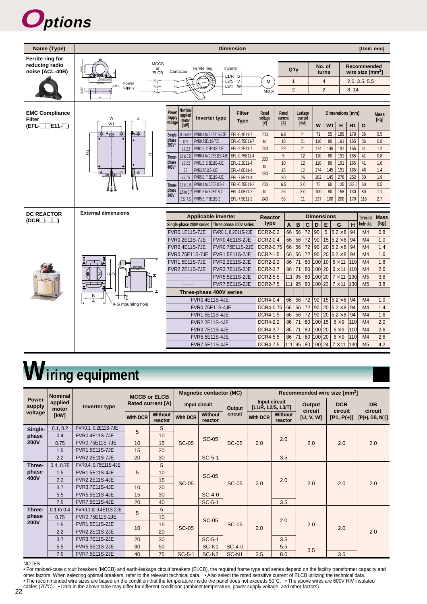



# **Wiring equipment**

|                                   | <b>Nominal</b>   |                       | <b>MCCB or ELCB</b>      |                           |               | <b>Magnetic contactor (MC)</b> |                   |                                     |                           |                   | Recommended wire size [mm <sup>2</sup> ] |                      |     |
|-----------------------------------|------------------|-----------------------|--------------------------|---------------------------|---------------|--------------------------------|-------------------|-------------------------------------|---------------------------|-------------------|------------------------------------------|----------------------|-----|
| <b>Power</b><br>supply<br>voltage | applied<br>motor | Inverter type         | <b>Rated current [A]</b> |                           | Input circuit |                                | <b>Output</b>     | Input circuit<br>[L1/R, L2/S, L3/T] |                           | Output<br>circuit | <b>DCR</b><br>circuit                    | <b>DB</b><br>circuit |     |
|                                   | [kW]             |                       | <b>With DCR</b>          | <b>Without</b><br>reactor | With DCR      | <b>Without</b><br>reactor      | circuit           | <b>With DCR</b>                     | <b>Without</b><br>reactor | [U, V, W]         | $[P1, P(+)]$                             | $[$ [P(+), DB, N(-)] |     |
| Single-                           | 0.1, 0.2         | FVR0.1, 0.2E11S-7JE   | 5                        | 5                         |               |                                |                   |                                     |                           |                   |                                          |                      |     |
| phase                             | 0.4              | <b>FVR0.4E11S-7JE</b> |                          | 10                        |               | <b>SC-05</b>                   | <b>SC-05</b>      |                                     | 2.0                       |                   |                                          |                      |     |
| <b>200V</b>                       | 0.75             | FVR0.75E11S-7JE       | 10                       | 15                        | <b>SC-05</b>  |                                |                   | 2.0                                 |                           | 2.0               | 2.0                                      | 2.0                  |     |
|                                   | 1.5              | <b>FVR1.5E11S-7JE</b> | 15                       | 20                        |               |                                |                   |                                     |                           |                   |                                          |                      |     |
|                                   | 2.2              | <b>FVR2.2E11S-7JE</b> | 20                       | 30                        |               | $SC-5-1$                       |                   |                                     | 3.5                       |                   |                                          |                      |     |
| Three-                            | 0.4, 0.75        | FVR0.4, 0.75E11S-4JE  |                          | 5                         |               |                                |                   |                                     |                           |                   |                                          |                      |     |
| phase                             | 1.5              | <b>FVR1.5E11S-4JE</b> | 5                        | 10                        |               | <b>SC-05</b>                   |                   |                                     |                           |                   |                                          |                      |     |
| 400V                              | 2.2              | <b>FVR2.2E11S-4JE</b> |                          | 15                        | <b>SC-05</b>  |                                | <b>SC-05</b>      | 2.0                                 | 2.0                       |                   | 2.0                                      | 2.0                  | 2.0 |
|                                   | 3.7              | <b>FVR3.7E11S-4JE</b> | 10                       | 20                        |               |                                |                   |                                     |                           |                   |                                          |                      |     |
|                                   | 5.5              | <b>FVR5.5E11S-4JE</b> | 15                       | 30                        |               | $SC-4-0$                       |                   |                                     |                           |                   |                                          |                      |     |
|                                   | 7.5              | <b>FVR7.5E11S-4JE</b> | 20                       | 40                        |               | $SC-5-1$                       |                   |                                     | 3.5                       |                   |                                          |                      |     |
| Three-                            | $0.1$ to $0.4$   | FVR0.1 to 0.4E11S-2JE | 5                        | 5                         |               |                                |                   |                                     |                           |                   |                                          |                      |     |
| phase                             | 0.75             | FVR0.75E11S-2JE       |                          | 10                        |               | <b>SC-05</b>                   |                   |                                     | 2.0                       |                   |                                          |                      |     |
| <b>200V</b>                       | 1.5              | <b>FVR1.5E11S-2JE</b> | 10                       | 15                        | <b>SC-05</b>  |                                | <b>SC-05</b>      | 2.0                                 |                           | 2.0               | 2.0                                      |                      |     |
|                                   | 2.2              | <b>FVR2.2E11S-2JE</b> |                          | 20                        |               |                                |                   |                                     |                           |                   |                                          | 2.0                  |     |
|                                   | 3.7              | <b>FVR3.7E11S-2JE</b> | 20                       | 30                        |               | $SC-5-1$                       |                   |                                     | 3.5                       |                   |                                          |                      |     |
|                                   | 5.5              | <b>FVR5.5E11S-2JE</b> | 30                       | 50                        |               | SC-N <sub>1</sub>              | $SC-4-0$          |                                     | 5.5                       | 3.5               |                                          |                      |     |
|                                   | 7.5              | FVR7.5E11S-2JE        | 40                       | 75                        | $SC-5-1$      | SC-N <sub>2</sub>              | SC-N <sub>1</sub> | 3.5                                 | 8.0                       |                   | 3.5                                      |                      |     |

NOTES :

• For molded-case circuit breakers (MCCB) and earth-leakage circuit breakers (ELCB), the required frame type and series depend on the facility transformer capacity and other factors. When selecting optimal breakers, refer to the relevant technical data. • Also select the rated sensitive current of ELCB utilizing the technical data. • The recommended wire sizes are based on the condition that the temperature inside the panel does not exceeds 50°C. • The above wires are 600V HIV insulated cables (75°C). • Data in the above table may differ for different conditions (ambient temperature, power supply voltage, and other factors).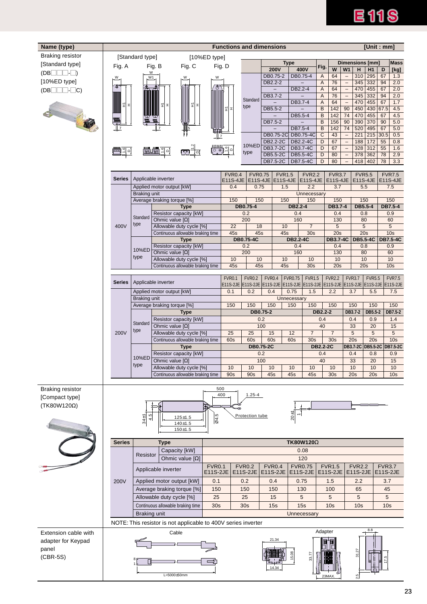# **E11S**

| Name (type)                 |               |                     |                                                                                               |                     | <b>Functions and dimensions</b> |                  |                |                                                      |                       |                      |                 |                        |                                               |                           |                            |                 |                                    |
|-----------------------------|---------------|---------------------|-----------------------------------------------------------------------------------------------|---------------------|---------------------------------|------------------|----------------|------------------------------------------------------|-----------------------|----------------------|-----------------|------------------------|-----------------------------------------------|---------------------------|----------------------------|-----------------|------------------------------------|
| <b>Braking resistor</b>     |               | [Standard type]     |                                                                                               | [10%ED type]        |                                 |                  |                | [Unit: mm]                                           |                       |                      |                 |                        |                                               |                           |                            |                 |                                    |
| [Standard type]             | Fig. A        |                     | Fig. B<br>Fig. C                                                                              |                     | Fig. D                          |                  |                |                                                      | <b>Type</b>           |                      |                 |                        |                                               |                           | Dimensions [mm]            |                 | <b>Mass</b>                        |
| $(DB \Box \Box \Box \Box)$  |               | W                   |                                                                                               |                     |                                 |                  |                | <b>200V</b><br>DB0.75-2                              |                       | 400V<br>DB0.75-4     | Fig.<br>Α       | W<br>64                | W1<br>$\overline{\phantom{m}}$                | н<br>310                  | H1<br>295                  | D<br>67         | [kg]<br>1.3                        |
| $[10\%ED$ type]             | W             | W1                  |                                                                                               | W                   |                                 |                  |                | DB2.2-2                                              |                       |                      | Α               | 76                     | $\qquad \qquad -$                             | 345                       | 332                        | 94              | 2.0                                |
| (DB  <br>$\Box$ - $\Box$ C) | ≉             |                     |                                                                                               | க                   |                                 |                  |                |                                                      | DB2.2-4               |                      | A               | 64                     | $\overline{\phantom{0}}$                      | 470                       | 455                        | 67              | 2.0                                |
|                             |               |                     |                                                                                               |                     |                                 | Standard         |                | DB3.7-2                                              |                       |                      | Α               | 76                     | $\overline{\phantom{a}}$                      | 345                       | 332                        | 94              | 2.0                                |
|                             | I             |                     | 뒼<br>I<br>눈                                                                                   |                     | 되<br>I                          | type             |                | DB5.5-2                                              | DB3.7-4               |                      | A<br>B          | 64<br>142              | $\overline{\phantom{m}}$<br>90                | 470<br>450                | 455<br>430                 | 67<br>67.5      | 1.7<br>4.5                         |
|                             |               |                     |                                                                                               |                     |                                 |                  |                |                                                      | DB5.5-4               |                      | B               | 142                    | 74                                            | 470                       | 455                        | 67              | 4.5                                |
|                             | 鼺             |                     |                                                                                               |                     |                                 |                  |                | DB7.5-2                                              |                       |                      | B               | 156                    | 90                                            | 390                       | 370                        | 90              | 5.0                                |
|                             | ╨             |                     | $\mathbb{L}$                                                                                  |                     |                                 |                  |                | $\overline{\phantom{0}}$<br>DB0.75-2C                | DB7.5-4               | DB0.75-4C            | B<br>C          | 142<br>43              | 74<br>$\overline{\phantom{a}}$                | 520<br>221                | 495<br>215                 | 67<br>30.5      | 5.0<br>0.5                         |
|                             |               |                     |                                                                                               |                     | $\overline{1}$                  |                  |                | DB2.2-2C                                             |                       | DB2.2-4C             | D               | 67                     | $\overline{\phantom{a}}$                      | 188                       | 172                        | 55              | 0.8                                |
|                             | $\frac{1}{2}$ |                     | <b>THE SEA</b><br>∤≏¦                                                                         | ၀ ဓ]                | $\frac{16}{10}$                 | 10%ED<br>type    |                | DB3.7-2C                                             |                       | DB3.7-4C             | D               | 67                     | $\overline{\phantom{a}}$                      | 328                       | 312                        | 55              | 1.6                                |
|                             |               |                     |                                                                                               |                     |                                 |                  |                | DB5.5-2C<br>DB7.5-2C                                 |                       | DB5.5-4C<br>DB7.5-4C | D<br>D          | 80<br>80               | $\overline{\phantom{m}}$<br>$\qquad \qquad -$ | 378<br>418                | 362<br>402                 | 78<br>78        | 2.9<br>3.3                         |
|                             |               |                     |                                                                                               |                     |                                 |                  |                |                                                      |                       |                      |                 |                        |                                               |                           |                            |                 |                                    |
|                             | <b>Series</b> |                     | Applicable inverter                                                                           |                     | <b>FVR0.4</b>                   |                  | <b>FVR0.75</b> | <b>FVR1.5</b>                                        |                       | <b>FVR2.2</b>        |                 | <b>FVR3.7</b>          |                                               | <b>FVR5.5</b>             |                            |                 | <b>FVR7.5</b>                      |
|                             |               |                     | Applied motor output [kW]                                                                     |                     | E11S-4JE<br>0.4                 |                  | 0.75           | E11S-4JE E11S-4JE<br>1.5                             |                       | E11S-4JE<br>2.2      |                 | E11S-4JE<br>3.7        |                                               | 5.5                       | E11S-4JE                   |                 | E11S-4JE<br>7.5                    |
|                             |               | <b>Braking unit</b> |                                                                                               |                     |                                 |                  |                |                                                      |                       | Unnecessary          |                 |                        |                                               |                           |                            |                 |                                    |
|                             |               |                     | Average braking torque [%]                                                                    |                     | 150                             |                  | 150            | 150                                                  |                       | 150                  |                 | 150                    |                                               | 150                       |                            |                 | 150                                |
|                             |               |                     | <b>Type</b><br>Resistor capacity [kW]                                                         |                     |                                 | DB0.75-4<br>0.2  |                |                                                      | <b>DB2.2-4</b><br>0.4 |                      |                 | DB3.7-4<br>0.4         |                                               | DB5.5-4<br>0.8            |                            |                 | DB7.5-4<br>0.9                     |
|                             |               | Standard            | Ohmic value $[\Omega]$                                                                        |                     | 200                             |                  |                | 160                                                  |                       |                      | 130             |                        | 80                                            |                           |                            | 60              |                                    |
|                             | 400V          | type                | Allowable duty cycle [%]                                                                      |                     | 22                              |                  | 18             | 10                                                   |                       | $\overline{7}$       |                 | 5                      |                                               | $\overline{5}$            |                            |                 | 5                                  |
|                             |               |                     | Continuous allowable braking time                                                             |                     | 45s                             | <b>DB0.75-4C</b> | 45s            | 45s                                                  | <b>DB2.2-4C</b>       | 30 <sub>s</sub>      |                 | 20s<br><b>DB3.7-4C</b> |                                               | 20s<br><b>DB5.5-4C</b>    |                            |                 | 10 <sub>s</sub><br><b>DB7.5-4C</b> |
|                             |               |                     | <b>Type</b><br>Resistor capacity [kW]                                                         |                     |                                 | 0.2              |                |                                                      | 0.4                   |                      |                 | 0.4                    |                                               | 0.8                       |                            |                 | 0.9                                |
|                             |               | 10%ED               | Ohmic value $[\Omega]$                                                                        |                     | 200                             |                  |                | 160                                                  |                       |                      | 130             |                        | 80                                            |                           | 60                         |                 |                                    |
|                             |               | type                | Allowable duty cycle [%]                                                                      |                     | 10                              |                  | 10             | 10                                                   |                       | 10                   |                 | 10                     |                                               | 10                        |                            |                 | 10                                 |
|                             |               |                     | Continuous allowable braking time                                                             |                     | 45s                             |                  | 45s            | 45s                                                  |                       | 30 <sub>s</sub>      |                 | 20s                    |                                               | 20s                       |                            |                 | 10 <sub>s</sub>                    |
|                             | <b>Series</b> |                     | Applicable inverter                                                                           |                     | <b>FVR0.1</b>                   | <b>FVR0.2</b>    | <b>FVR0.4</b>  |                                                      | <b>FVR0.75</b>        | <b>FVR1.5</b>        |                 | <b>FVR2.2</b>          |                                               | <b>FVR3.7</b>             | <b>FVR5.5</b>              |                 | <b>FVR7.5</b>                      |
|                             |               |                     | Applied motor output [kW]                                                                     |                     | 0.1                             | 0.2              | 0.4            | E11S-2JE   E11S-2JE   E11S-2JE   E11S-2JE   E11S-2JE | 0.75                  | 1.5                  |                 | E11S-2JE<br>2.2        |                                               | 3.7                       | E11S-2JE E11S-2JE<br>5.5   |                 | <b>E11S-2JE</b><br>7.5             |
|                             |               | <b>Braking unit</b> |                                                                                               |                     |                                 |                  |                |                                                      | Unnecessary           |                      |                 |                        |                                               |                           |                            |                 |                                    |
|                             |               | Standard<br>type    | Average braking torque [%]<br><b>Type</b><br>Resistor capacity [kW]<br>Ohmic value $[\Omega]$ |                     | 150<br>150<br>DB0.75-2          |                  |                | 150<br>150                                           |                       | 150                  | 150             |                        | 150                                           |                           | 150                        |                 | 150                                |
|                             |               |                     |                                                                                               |                     |                                 |                  |                |                                                      |                       | DB2.2-2              |                 |                        | DB3.7-2                                       | DB5.5-2                   |                            | DB7.5-2         |                                    |
|                             |               |                     |                                                                                               |                     |                                 |                  | 0.2<br>100     |                                                      |                       |                      | 0.4<br>40       |                        |                                               | 0.4<br>33                 | 0.9<br>20                  |                 | 1.4<br>15                          |
|                             | 200V          |                     | Allowable duty cycle [%]                                                                      |                     | 25                              | 25               |                | 15                                                   | 12                    | $\overline{7}$       |                 | $\overline{7}$         |                                               | 5                         | 5                          |                 | 5                                  |
|                             |               |                     | Continuous allowable braking time                                                             |                     | 60s                             | 60s              |                | 60s                                                  | 60s                   | 30s                  |                 | 30 <sub>s</sub>        |                                               | 20s                       | 20s                        |                 | 10 <sub>s</sub>                    |
|                             |               |                     | <b>Type</b>                                                                                   |                     |                                 | <b>DB0.75-2C</b> |                |                                                      |                       | <b>DB2.2-2C</b>      |                 |                        |                                               |                           | DB3.7-2C DB5.5-2C DB7.5-2C |                 |                                    |
|                             |               | 10%ED<br>type       | Resistor capacity [kW]<br>Ohmic value $[\Omega]$                                              |                     |                                 |                  | 0.2<br>100     |                                                      |                       | 0.4                  |                 |                        | 0.4<br>33                                     |                           | 0.8<br>20                  |                 | 0.9<br>15                          |
|                             |               |                     | Allowable duty cycle [%]                                                                      |                     | 10<br>10                        |                  |                | 10                                                   | 10                    | 10                   | 40              | 10                     |                                               | 10                        | 10                         |                 | 10                                 |
|                             |               |                     | Continuous allowable braking time                                                             |                     | 90s                             | 90s<br>45s       |                |                                                      | 45s<br>45s            |                      | 30 <sub>s</sub> |                        |                                               | 20s<br>20s                |                            |                 | 10 <sub>s</sub>                    |
|                             |               |                     |                                                                                               |                     |                                 |                  |                |                                                      |                       |                      |                 |                        |                                               |                           |                            |                 |                                    |
| <b>Braking resistor</b>     |               |                     |                                                                                               |                     | 500<br>400                      | $1.25 - 4$       |                |                                                      |                       |                      |                 |                        |                                               |                           |                            |                 |                                    |
| [Compact type]              |               |                     |                                                                                               |                     |                                 |                  |                |                                                      |                       |                      |                 |                        |                                               |                           |                            |                 |                                    |
| $(TK80W120\Omega)$          |               |                     |                                                                                               |                     | 風                               |                  |                |                                                      |                       |                      |                 |                        |                                               |                           |                            |                 |                                    |
|                             |               | 4.5<br>$34 + 1$     | $125 \pm 1.5$                                                                                 | Ю<br>$\overline{a}$ |                                 | Protection tube  |                |                                                      | $20 \pm 1$            |                      |                 |                        |                                               |                           |                            |                 |                                    |
|                             |               |                     | 140±1.5<br>$150 + 1.5$                                                                        |                     |                                 |                  |                |                                                      |                       |                      |                 |                        |                                               |                           |                            |                 |                                    |
|                             |               |                     |                                                                                               |                     |                                 |                  |                |                                                      |                       |                      |                 |                        |                                               |                           |                            |                 |                                    |
|                             | <b>Series</b> |                     | <b>Type</b>                                                                                   |                     | <b>TK80W120</b> Ω               |                  |                |                                                      |                       |                      |                 |                        |                                               |                           |                            |                 |                                    |
|                             |               | Resistor            | Capacity [kW]                                                                                 |                     |                                 |                  |                |                                                      |                       | 0.08                 |                 |                        |                                               |                           |                            |                 |                                    |
|                             |               |                     | Ohmic value $[\Omega]$                                                                        | <b>FVR0.1</b>       |                                 | <b>FVR0.2</b>    |                | <b>FVR0.4</b>                                        | <b>FVR0.75</b>        | 120                  | <b>FVR1.5</b>   |                        |                                               |                           |                            | <b>FVR3.7</b>   |                                    |
|                             |               |                     | Applicable inverter                                                                           | E11S-2JE            |                                 | E11S-2JE         |                | E11S-2JE                                             |                       | E11S-2JE             |                 | E11S-2JE               |                                               | <b>FVR2.2</b><br>E11S-2JE |                            | E11S-2JE        |                                    |
|                             | 200V          |                     | Applied motor output [kW]                                                                     | 0.1                 |                                 | 0.2              |                | 0.4                                                  |                       | 0.75                 |                 | 1.5                    |                                               | 2.2                       |                            | 3.7             |                                    |
|                             |               |                     | Average braking torque [%]                                                                    | 150                 |                                 | 150              |                | 150                                                  |                       | 130                  |                 | 100                    |                                               | 65                        |                            | 45              |                                    |
|                             |               |                     | Allowable duty cycle [%]                                                                      | 25                  |                                 | 25               |                | 15                                                   |                       | 5                    |                 | 5                      |                                               | 5                         |                            | 5               |                                    |
|                             |               |                     | Continuous allowable braking time                                                             | 30 <sub>s</sub>     |                                 | 30 <sub>s</sub>  |                | 15s                                                  |                       | 15s                  |                 | 10 <sub>s</sub>        |                                               | 10 <sub>s</sub>           |                            | 10 <sub>s</sub> |                                    |
|                             |               | Braking unit        |                                                                                               |                     |                                 |                  |                |                                                      |                       | Unnecessary          |                 |                        |                                               |                           |                            |                 |                                    |
|                             |               |                     | NOTE: This resistor is not applicable to 400V series inverter                                 |                     |                                 |                  |                |                                                      |                       |                      |                 |                        |                                               |                           |                            |                 |                                    |
| Extension cable with        |               |                     | Cable                                                                                         |                     |                                 |                  |                |                                                      |                       |                      | Adapter         |                        |                                               |                           | 8.8                        |                 |                                    |
| adapter for Keypad          |               |                     |                                                                                               |                     |                                 |                  |                | 21.34                                                |                       |                      |                 |                        |                                               |                           |                            |                 |                                    |
| panel                       |               |                     |                                                                                               |                     |                                 |                  |                |                                                      |                       |                      |                 |                        |                                               |                           |                            |                 |                                    |
| $(CBR-5S)$                  |               |                     |                                                                                               |                     |                                 |                  |                |                                                      |                       | 33.77                |                 |                        |                                               | 31.27                     |                            |                 |                                    |
|                             |               |                     |                                                                                               |                     |                                 |                  |                | 14.34                                                |                       |                      |                 |                        |                                               |                           |                            |                 |                                    |
|                             |               |                     | L=5000±50mm                                                                                   |                     |                                 |                  |                |                                                      |                       |                      |                 | 23MAX                  |                                               | 2.5                       |                            |                 |                                    |